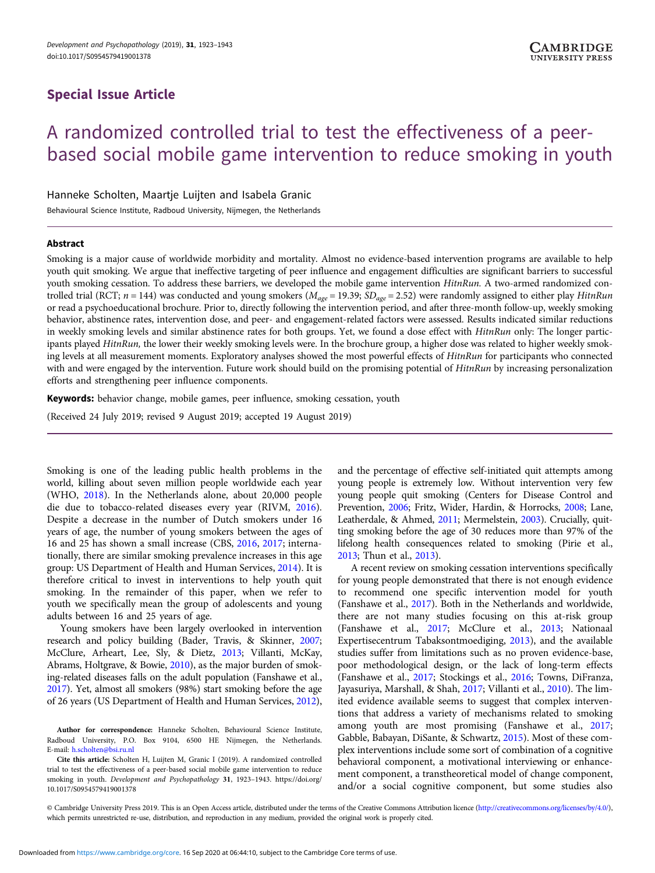## Special Issue Article

# A randomized controlled trial to test the effectiveness of a peerbased social mobile game intervention to reduce smoking in youth

Hanneke Scholten, Maartje Luijten and Isabela Granic

Behavioural Science Institute, Radboud University, Nijmegen, the Netherlands

### Abstract

Smoking is a major cause of worldwide morbidity and mortality. Almost no evidence-based intervention programs are available to help youth quit smoking. We argue that ineffective targeting of peer influence and engagement difficulties are significant barriers to successful youth smoking cessation. To address these barriers, we developed the mobile game intervention HitnRun. A two-armed randomized controlled trial (RCT;  $n = 144$ ) was conducted and young smokers ( $M_{age} = 19.39$ ;  $SD_{age} = 2.52$ ) were randomly assigned to either play HitnRun or read a psychoeducational brochure. Prior to, directly following the intervention period, and after three-month follow-up, weekly smoking behavior, abstinence rates, intervention dose, and peer- and engagement-related factors were assessed. Results indicated similar reductions in weekly smoking levels and similar abstinence rates for both groups. Yet, we found a dose effect with HitnRun only: The longer participants played HitnRun, the lower their weekly smoking levels were. In the brochure group, a higher dose was related to higher weekly smoking levels at all measurement moments. Exploratory analyses showed the most powerful effects of HitnRun for participants who connected with and were engaged by the intervention. Future work should build on the promising potential of HitnRun by increasing personalization efforts and strengthening peer influence components.

Keywords: behavior change, mobile games, peer influence, smoking cessation, youth

(Received 24 July 2019; revised 9 August 2019; accepted 19 August 2019)

Smoking is one of the leading public health problems in the world, killing about seven million people worldwide each year (WHO, [2018](#page-20-0)). In the Netherlands alone, about 20,000 people die due to tobacco-related diseases every year (RIVM, [2016\)](#page-19-0). Despite a decrease in the number of Dutch smokers under 16 years of age, the number of young smokers between the ages of 16 and 25 has shown a small increase (CBS, [2016](#page-17-0), [2017](#page-17-0); internationally, there are similar smoking prevalence increases in this age group: US Department of Health and Human Services, [2014](#page-20-0)). It is therefore critical to invest in interventions to help youth quit smoking. In the remainder of this paper, when we refer to youth we specifically mean the group of adolescents and young adults between 16 and 25 years of age.

Young smokers have been largely overlooked in intervention research and policy building (Bader, Travis, & Skinner, [2007;](#page-17-0) McClure, Arheart, Lee, Sly, & Dietz, [2013](#page-18-0); Villanti, McKay, Abrams, Holtgrave, & Bowie, [2010](#page-20-0)), as the major burden of smoking-related diseases falls on the adult population (Fanshawe et al., [2017](#page-17-0)). Yet, almost all smokers (98%) start smoking before the age of 26 years (US Department of Health and Human Services, [2012\)](#page-20-0),

Author for correspondence: Hanneke Scholten, Behavioural Science Institute, Radboud University, P.O. Box 9104, 6500 HE Nijmegen, the Netherlands. E-mail: [h.scholten@bsi.ru.nl](mailto:h.scholten@bsi.ru.nl)

Cite this article: Scholten H, Luijten M, Granic I (2019). A randomized controlled trial to test the effectiveness of a peer-based social mobile game intervention to reduce smoking in youth. Development and Psychopathology 31, 1923–1943. [https://doi.org/](https://doi.org/10.1017/S0954579419001378) [10.1017/S0954579419001378](https://doi.org/10.1017/S0954579419001378)

and the percentage of effective self-initiated quit attempts among young people is extremely low. Without intervention very few young people quit smoking (Centers for Disease Control and Prevention, [2006](#page-17-0); Fritz, Wider, Hardin, & Horrocks, [2008;](#page-17-0) Lane, Leatherdale, & Ahmed, [2011](#page-18-0); Mermelstein, [2003](#page-18-0)). Crucially, quitting smoking before the age of 30 reduces more than 97% of the lifelong health consequences related to smoking (Pirie et al., [2013](#page-19-0); Thun et al., [2013](#page-19-0)).

A recent review on smoking cessation interventions specifically for young people demonstrated that there is not enough evidence to recommend one specific intervention model for youth (Fanshawe et al., [2017](#page-17-0)). Both in the Netherlands and worldwide, there are not many studies focusing on this at-risk group (Fanshawe et al., [2017;](#page-17-0) McClure et al., [2013;](#page-18-0) Nationaal Expertisecentrum Tabaksontmoediging, [2013\)](#page-18-0), and the available studies suffer from limitations such as no proven evidence-base, poor methodological design, or the lack of long-term effects (Fanshawe et al., [2017;](#page-17-0) Stockings et al., [2016;](#page-19-0) Towns, DiFranza, Jayasuriya, Marshall, & Shah, [2017;](#page-19-0) Villanti et al., [2010](#page-20-0)). The limited evidence available seems to suggest that complex interventions that address a variety of mechanisms related to smoking among youth are most promising (Fanshawe et al., [2017](#page-17-0); Gabble, Babayan, DiSante, & Schwartz, [2015\)](#page-17-0). Most of these complex interventions include some sort of combination of a cognitive behavioral component, a motivational interviewing or enhancement component, a transtheoretical model of change component, and/or a social cognitive component, but some studies also

© Cambridge University Press 2019. This is an Open Access article, distributed under the terms of the Creative Commons Attribution licence ([http://creativecommons.org/licenses/by/4.0/\)](http://creativecommons.org/licenses/by/4.0/), which permits unrestricted re-use, distribution, and reproduction in any medium, provided the original work is properly cited.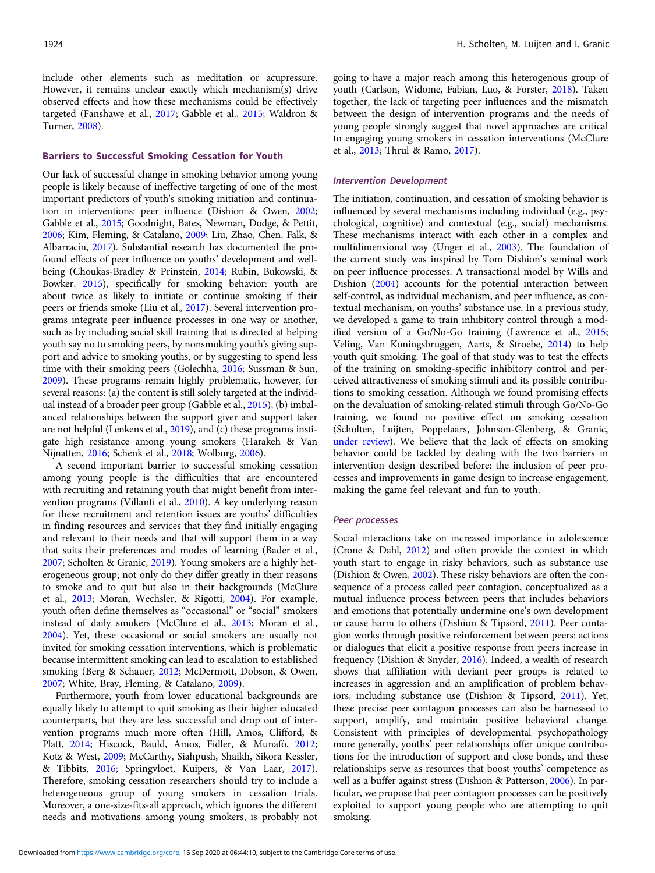include other elements such as meditation or acupressure. However, it remains unclear exactly which mechanism(s) drive observed effects and how these mechanisms could be effectively targeted (Fanshawe et al., [2017](#page-17-0); Gabble et al., [2015](#page-17-0); Waldron & Turner, [2008\)](#page-20-0).

## Barriers to Successful Smoking Cessation for Youth

Our lack of successful change in smoking behavior among young people is likely because of ineffective targeting of one of the most important predictors of youth's smoking initiation and continuation in interventions: peer influence (Dishion & Owen, [2002;](#page-17-0) Gabble et al., [2015](#page-17-0); Goodnight, Bates, Newman, Dodge, & Pettit, [2006](#page-18-0); Kim, Fleming, & Catalano, [2009](#page-18-0); Liu, Zhao, Chen, Falk, & Albarracín, [2017\)](#page-18-0). Substantial research has documented the profound effects of peer influence on youths' development and wellbeing (Choukas-Bradley & Prinstein, [2014;](#page-17-0) Rubin, Bukowski, & Bowker, [2015](#page-19-0)), specifically for smoking behavior: youth are about twice as likely to initiate or continue smoking if their peers or friends smoke (Liu et al., [2017](#page-18-0)). Several intervention programs integrate peer influence processes in one way or another, such as by including social skill training that is directed at helping youth say no to smoking peers, by nonsmoking youth's giving support and advice to smoking youths, or by suggesting to spend less time with their smoking peers (Golechha, [2016;](#page-18-0) Sussman & Sun, [2009](#page-19-0)). These programs remain highly problematic, however, for several reasons: (a) the content is still solely targeted at the individual instead of a broader peer group (Gabble et al., [2015](#page-17-0)), (b) imbalanced relationships between the support giver and support taker are not helpful (Lenkens et al., [2019](#page-18-0)), and (c) these programs instigate high resistance among young smokers (Harakeh & Van Nijnatten, [2016](#page-18-0); Schenk et al., [2018;](#page-19-0) Wolburg, [2006\)](#page-20-0).

A second important barrier to successful smoking cessation among young people is the difficulties that are encountered with recruiting and retaining youth that might benefit from intervention programs (Villanti et al., [2010](#page-20-0)). A key underlying reason for these recruitment and retention issues are youths' difficulties in finding resources and services that they find initially engaging and relevant to their needs and that will support them in a way that suits their preferences and modes of learning (Bader et al., [2007;](#page-17-0) Scholten & Granic, [2019](#page-19-0)). Young smokers are a highly heterogeneous group; not only do they differ greatly in their reasons to smoke and to quit but also in their backgrounds (McClure et al., [2013;](#page-18-0) Moran, Wechsler, & Rigotti, [2004\)](#page-18-0). For example, youth often define themselves as "occasional" or "social" smokers instead of daily smokers (McClure et al., [2013](#page-18-0); Moran et al., [2004\)](#page-18-0). Yet, these occasional or social smokers are usually not invited for smoking cessation interventions, which is problematic because intermittent smoking can lead to escalation to established smoking (Berg & Schauer, [2012](#page-17-0); McDermott, Dobson, & Owen, [2007;](#page-18-0) White, Bray, Fleming, & Catalano, [2009](#page-20-0)).

Furthermore, youth from lower educational backgrounds are equally likely to attempt to quit smoking as their higher educated counterparts, but they are less successful and drop out of intervention programs much more often (Hill, Amos, Clifford, & Platt, [2014;](#page-18-0) Hiscock, Bauld, Amos, Fidler, & Munafò, [2012;](#page-18-0) Kotz & West, [2009](#page-18-0); McCarthy, Siahpush, Shaikh, Sikora Kessler, & Tibbits, [2016](#page-18-0); Springvloet, Kuipers, & Van Laar, [2017\)](#page-19-0). Therefore, smoking cessation researchers should try to include a heterogeneous group of young smokers in cessation trials. Moreover, a one-size-fits-all approach, which ignores the different needs and motivations among young smokers, is probably not

going to have a major reach among this heterogenous group of youth (Carlson, Widome, Fabian, Luo, & Forster, [2018\)](#page-17-0). Taken together, the lack of targeting peer influences and the mismatch between the design of intervention programs and the needs of young people strongly suggest that novel approaches are critical to engaging young smokers in cessation interventions (McClure et al., [2013](#page-18-0); Thrul & Ramo, [2017](#page-19-0)).

## Intervention Development

The initiation, continuation, and cessation of smoking behavior is influenced by several mechanisms including individual (e.g., psychological, cognitive) and contextual (e.g., social) mechanisms. These mechanisms interact with each other in a complex and multidimensional way (Unger et al., [2003\)](#page-20-0). The foundation of the current study was inspired by Tom Dishion's seminal work on peer influence processes. A transactional model by Wills and Dishion [\(2004\)](#page-20-0) accounts for the potential interaction between self-control, as individual mechanism, and peer influence, as contextual mechanism, on youths' substance use. In a previous study, we developed a game to train inhibitory control through a modified version of a Go/No-Go training (Lawrence et al., [2015](#page-18-0); Veling, Van Koningsbruggen, Aarts, & Stroebe, [2014\)](#page-20-0) to help youth quit smoking. The goal of that study was to test the effects of the training on smoking-specific inhibitory control and perceived attractiveness of smoking stimuli and its possible contributions to smoking cessation. Although we found promising effects on the devaluation of smoking-related stimuli through Go/No-Go training, we found no positive effect on smoking cessation (Scholten, Luijten, Poppelaars, Johnson-Glenberg, & Granic, [under review](#page-19-0)). We believe that the lack of effects on smoking behavior could be tackled by dealing with the two barriers in intervention design described before: the inclusion of peer processes and improvements in game design to increase engagement, making the game feel relevant and fun to youth.

#### Peer processes

Social interactions take on increased importance in adolescence (Crone & Dahl, [2012\)](#page-17-0) and often provide the context in which youth start to engage in risky behaviors, such as substance use (Dishion & Owen, [2002](#page-17-0)). These risky behaviors are often the consequence of a process called peer contagion, conceptualized as a mutual influence process between peers that includes behaviors and emotions that potentially undermine one's own development or cause harm to others (Dishion & Tipsord, [2011\)](#page-17-0). Peer contagion works through positive reinforcement between peers: actions or dialogues that elicit a positive response from peers increase in frequency (Dishion & Snyder, [2016](#page-17-0)). Indeed, a wealth of research shows that affiliation with deviant peer groups is related to increases in aggression and an amplification of problem behaviors, including substance use (Dishion & Tipsord, [2011\)](#page-17-0). Yet, these precise peer contagion processes can also be harnessed to support, amplify, and maintain positive behavioral change. Consistent with principles of developmental psychopathology more generally, youths' peer relationships offer unique contributions for the introduction of support and close bonds, and these relationships serve as resources that boost youths' competence as well as a buffer against stress (Dishion & Patterson, [2006\)](#page-17-0). In particular, we propose that peer contagion processes can be positively exploited to support young people who are attempting to quit smoking.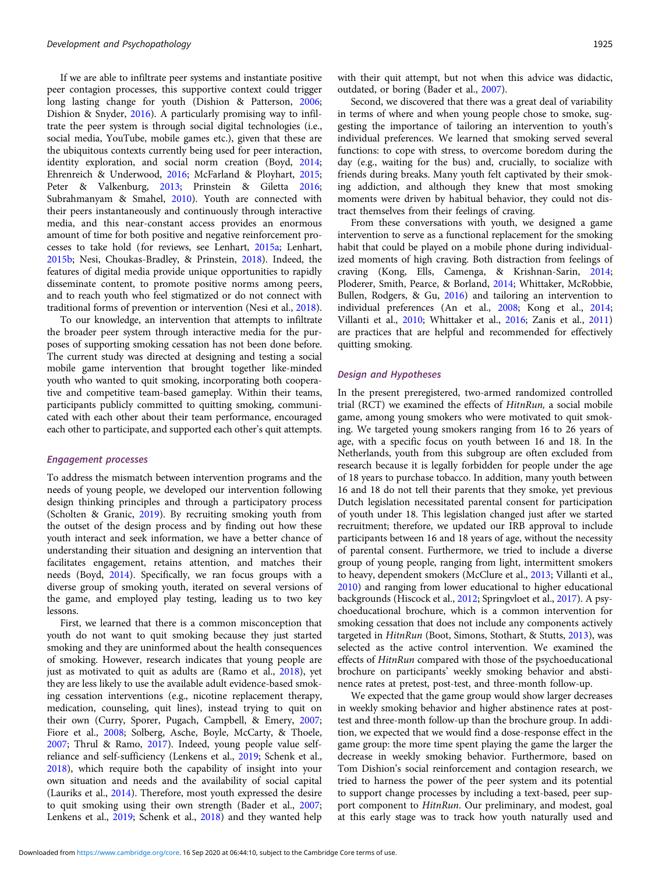If we are able to infiltrate peer systems and instantiate positive peer contagion processes, this supportive context could trigger long lasting change for youth (Dishion & Patterson, [2006;](#page-17-0) Dishion & Snyder, [2016\)](#page-17-0). A particularly promising way to infiltrate the peer system is through social digital technologies (i.e., social media, YouTube, mobile games etc.), given that these are the ubiquitous contexts currently being used for peer interaction, identity exploration, and social norm creation (Boyd, [2014;](#page-17-0) Ehrenreich & Underwood, [2016;](#page-17-0) McFarland & Ployhart, [2015;](#page-18-0) Peter & Valkenburg, [2013](#page-19-0); Prinstein & Giletta [2016;](#page-19-0) Subrahmanyam & Smahel, [2010\)](#page-19-0). Youth are connected with their peers instantaneously and continuously through interactive media, and this near-constant access provides an enormous amount of time for both positive and negative reinforcement processes to take hold (for reviews, see Lenhart, [2015a](#page-18-0); Lenhart, [2015b;](#page-18-0) Nesi, Choukas-Bradley, & Prinstein, [2018](#page-18-0)). Indeed, the features of digital media provide unique opportunities to rapidly disseminate content, to promote positive norms among peers, and to reach youth who feel stigmatized or do not connect with traditional forms of prevention or intervention (Nesi et al., [2018\)](#page-18-0).

To our knowledge, an intervention that attempts to infiltrate the broader peer system through interactive media for the purposes of supporting smoking cessation has not been done before. The current study was directed at designing and testing a social mobile game intervention that brought together like-minded youth who wanted to quit smoking, incorporating both cooperative and competitive team-based gameplay. Within their teams, participants publicly committed to quitting smoking, communicated with each other about their team performance, encouraged each other to participate, and supported each other's quit attempts.

#### Engagement processes

To address the mismatch between intervention programs and the needs of young people, we developed our intervention following design thinking principles and through a participatory process (Scholten & Granic, [2019\)](#page-19-0). By recruiting smoking youth from the outset of the design process and by finding out how these youth interact and seek information, we have a better chance of understanding their situation and designing an intervention that facilitates engagement, retains attention, and matches their needs (Boyd, [2014](#page-17-0)). Specifically, we ran focus groups with a diverse group of smoking youth, iterated on several versions of the game, and employed play testing, leading us to two key lessons.

First, we learned that there is a common misconception that youth do not want to quit smoking because they just started smoking and they are uninformed about the health consequences of smoking. However, research indicates that young people are just as motivated to quit as adults are (Ramo et al., [2018\)](#page-19-0), yet they are less likely to use the available adult evidence-based smoking cessation interventions (e.g., nicotine replacement therapy, medication, counseling, quit lines), instead trying to quit on their own (Curry, Sporer, Pugach, Campbell, & Emery, [2007;](#page-17-0) Fiore et al., [2008](#page-17-0); Solberg, Asche, Boyle, McCarty, & Thoele, [2007;](#page-19-0) Thrul & Ramo, [2017\)](#page-19-0). Indeed, young people value selfreliance and self-sufficiency (Lenkens et al., [2019](#page-18-0); Schenk et al., [2018\)](#page-19-0), which require both the capability of insight into your own situation and needs and the availability of social capital (Lauriks et al., [2014\)](#page-18-0). Therefore, most youth expressed the desire to quit smoking using their own strength (Bader et al., [2007;](#page-17-0) Lenkens et al., [2019](#page-18-0); Schenk et al., [2018](#page-19-0)) and they wanted help

with their quit attempt, but not when this advice was didactic, outdated, or boring (Bader et al., [2007\)](#page-17-0).

Second, we discovered that there was a great deal of variability in terms of where and when young people chose to smoke, suggesting the importance of tailoring an intervention to youth's individual preferences. We learned that smoking served several functions: to cope with stress, to overcome boredom during the day (e.g., waiting for the bus) and, crucially, to socialize with friends during breaks. Many youth felt captivated by their smoking addiction, and although they knew that most smoking moments were driven by habitual behavior, they could not distract themselves from their feelings of craving.

From these conversations with youth, we designed a game intervention to serve as a functional replacement for the smoking habit that could be played on a mobile phone during individualized moments of high craving. Both distraction from feelings of craving (Kong, Ells, Camenga, & Krishnan-Sarin, [2014](#page-18-0); Ploderer, Smith, Pearce, & Borland, [2014](#page-19-0); Whittaker, McRobbie, Bullen, Rodgers, & Gu, [2016](#page-20-0)) and tailoring an intervention to individual preferences (An et al., [2008;](#page-17-0) Kong et al., [2014](#page-18-0); Villanti et al., [2010](#page-20-0); Whittaker et al., [2016;](#page-20-0) Zanis et al., [2011](#page-20-0)) are practices that are helpful and recommended for effectively quitting smoking.

#### Design and Hypotheses

In the present preregistered, two-armed randomized controlled trial (RCT) we examined the effects of HitnRun, a social mobile game, among young smokers who were motivated to quit smoking. We targeted young smokers ranging from 16 to 26 years of age, with a specific focus on youth between 16 and 18. In the Netherlands, youth from this subgroup are often excluded from research because it is legally forbidden for people under the age of 18 years to purchase tobacco. In addition, many youth between 16 and 18 do not tell their parents that they smoke, yet previous Dutch legislation necessitated parental consent for participation of youth under 18. This legislation changed just after we started recruitment; therefore, we updated our IRB approval to include participants between 16 and 18 years of age, without the necessity of parental consent. Furthermore, we tried to include a diverse group of young people, ranging from light, intermittent smokers to heavy, dependent smokers (McClure et al., [2013](#page-18-0); Villanti et al., [2010](#page-20-0)) and ranging from lower educational to higher educational backgrounds (Hiscock et al., [2012;](#page-18-0) Springvloet et al., [2017](#page-19-0)). A psychoeducational brochure, which is a common intervention for smoking cessation that does not include any components actively targeted in HitnRun (Boot, Simons, Stothart, & Stutts, [2013\)](#page-17-0), was selected as the active control intervention. We examined the effects of HitnRun compared with those of the psychoeducational brochure on participants' weekly smoking behavior and abstinence rates at pretest, post-test, and three-month follow-up.

We expected that the game group would show larger decreases in weekly smoking behavior and higher abstinence rates at posttest and three-month follow-up than the brochure group. In addition, we expected that we would find a dose-response effect in the game group: the more time spent playing the game the larger the decrease in weekly smoking behavior. Furthermore, based on Tom Dishion's social reinforcement and contagion research, we tried to harness the power of the peer system and its potential to support change processes by including a text-based, peer support component to HitnRun. Our preliminary, and modest, goal at this early stage was to track how youth naturally used and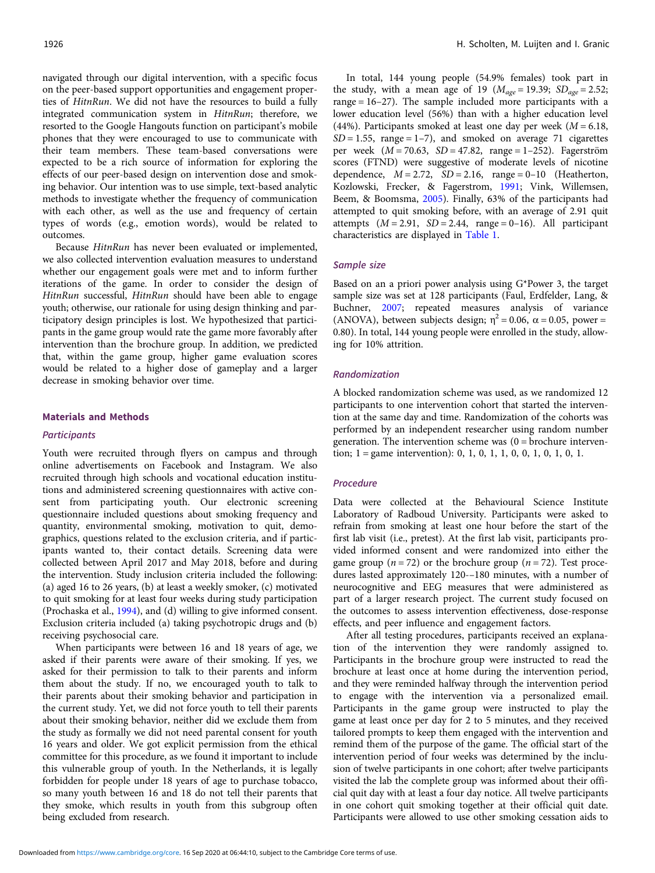navigated through our digital intervention, with a specific focus on the peer-based support opportunities and engagement properties of HitnRun. We did not have the resources to build a fully integrated communication system in HitnRun; therefore, we resorted to the Google Hangouts function on participant's mobile phones that they were encouraged to use to communicate with their team members. These team-based conversations were expected to be a rich source of information for exploring the effects of our peer-based design on intervention dose and smoking behavior. Our intention was to use simple, text-based analytic methods to investigate whether the frequency of communication with each other, as well as the use and frequency of certain types of words (e.g., emotion words), would be related to outcomes.

Because HitnRun has never been evaluated or implemented, we also collected intervention evaluation measures to understand whether our engagement goals were met and to inform further iterations of the game. In order to consider the design of HitnRun successful, HitnRun should have been able to engage youth; otherwise, our rationale for using design thinking and participatory design principles is lost. We hypothesized that participants in the game group would rate the game more favorably after intervention than the brochure group. In addition, we predicted that, within the game group, higher game evaluation scores would be related to a higher dose of gameplay and a larger decrease in smoking behavior over time.

## Materials and Methods

#### **Participants**

Youth were recruited through flyers on campus and through online advertisements on Facebook and Instagram. We also recruited through high schools and vocational education institutions and administered screening questionnaires with active consent from participating youth. Our electronic screening questionnaire included questions about smoking frequency and quantity, environmental smoking, motivation to quit, demographics, questions related to the exclusion criteria, and if participants wanted to, their contact details. Screening data were collected between April 2017 and May 2018, before and during the intervention. Study inclusion criteria included the following: (a) aged 16 to 26 years, (b) at least a weekly smoker, (c) motivated to quit smoking for at least four weeks during study participation (Prochaska et al., [1994\)](#page-19-0), and (d) willing to give informed consent. Exclusion criteria included (a) taking psychotropic drugs and (b) receiving psychosocial care.

When participants were between 16 and 18 years of age, we asked if their parents were aware of their smoking. If yes, we asked for their permission to talk to their parents and inform them about the study. If no, we encouraged youth to talk to their parents about their smoking behavior and participation in the current study. Yet, we did not force youth to tell their parents about their smoking behavior, neither did we exclude them from the study as formally we did not need parental consent for youth 16 years and older. We got explicit permission from the ethical committee for this procedure, as we found it important to include this vulnerable group of youth. In the Netherlands, it is legally forbidden for people under 18 years of age to purchase tobacco, so many youth between 16 and 18 do not tell their parents that they smoke, which results in youth from this subgroup often being excluded from research.

In total, 144 young people (54.9% females) took part in the study, with a mean age of 19 ( $M_{age} = 19.39$ ;  $SD_{age} = 2.52$ ; range = 16–27). The sample included more participants with a lower education level (56%) than with a higher education level (44%). Participants smoked at least one day per week  $(M = 6.18,$  $SD = 1.55$ , range = 1-7), and smoked on average 71 cigarettes per week  $(M = 70.63, SD = 47.82, range = 1-252)$ . Fagerström scores (FTND) were suggestive of moderate levels of nicotine dependence,  $M = 2.72$ ,  $SD = 2.16$ , range = 0-10 (Heatherton, Kozlowski, Frecker, & Fagerstrom, [1991;](#page-18-0) Vink, Willemsen, Beem, & Boomsma, [2005\)](#page-20-0). Finally, 63% of the participants had attempted to quit smoking before, with an average of 2.91 quit attempts  $(M = 2.91, SD = 2.44, range = 0-16)$ . All participant characteristics are displayed in [Table 1.](#page-4-0)

## Sample size

Based on an a priori power analysis using G\*Power 3, the target sample size was set at 128 participants (Faul, Erdfelder, Lang, & Buchner, [2007](#page-17-0); repeated measures analysis of variance (ANOVA), between subjects design;  $\eta^2 = 0.06$ ,  $\alpha = 0.05$ , power = 0.80). In total, 144 young people were enrolled in the study, allowing for 10% attrition.

#### Randomization

A blocked randomization scheme was used, as we randomized 12 participants to one intervention cohort that started the intervention at the same day and time. Randomization of the cohorts was performed by an independent researcher using random number generation. The intervention scheme was  $(0 = b$ rochure intervention; 1 = game intervention): 0, 1, 0, 1, 1, 0, 0, 1, 0, 1, 0, 1.

## Procedure

Data were collected at the Behavioural Science Institute Laboratory of Radboud University. Participants were asked to refrain from smoking at least one hour before the start of the first lab visit (i.e., pretest). At the first lab visit, participants provided informed consent and were randomized into either the game group ( $n = 72$ ) or the brochure group ( $n = 72$ ). Test procedures lasted approximately 120-–180 minutes, with a number of neurocognitive and EEG measures that were administered as part of a larger research project. The current study focused on the outcomes to assess intervention effectiveness, dose-response effects, and peer influence and engagement factors.

After all testing procedures, participants received an explanation of the intervention they were randomly assigned to. Participants in the brochure group were instructed to read the brochure at least once at home during the intervention period, and they were reminded halfway through the intervention period to engage with the intervention via a personalized email. Participants in the game group were instructed to play the game at least once per day for 2 to 5 minutes, and they received tailored prompts to keep them engaged with the intervention and remind them of the purpose of the game. The official start of the intervention period of four weeks was determined by the inclusion of twelve participants in one cohort; after twelve participants visited the lab the complete group was informed about their official quit day with at least a four day notice. All twelve participants in one cohort quit smoking together at their official quit date. Participants were allowed to use other smoking cessation aids to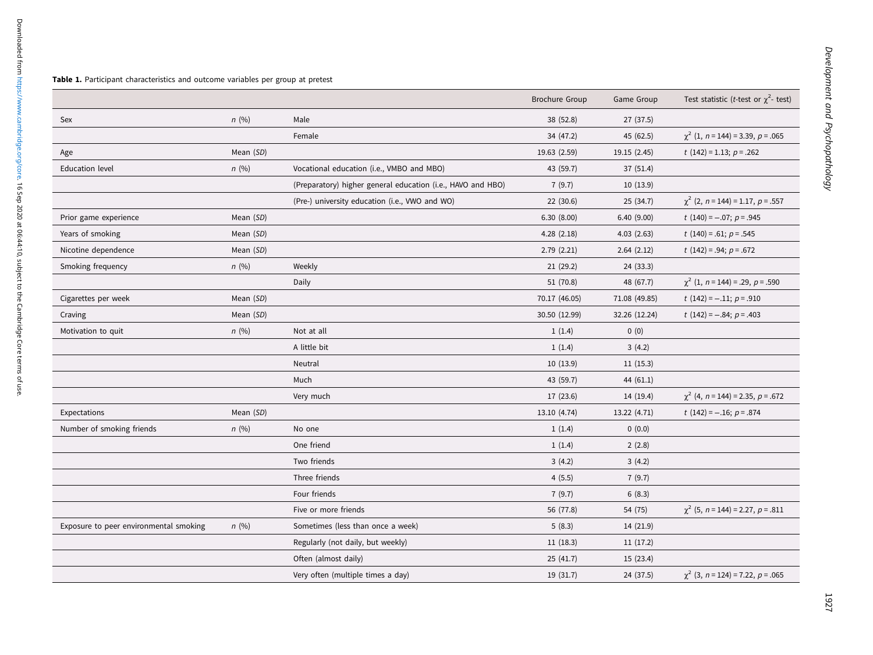#### <span id="page-4-0"></span>Table 1. Participant characteristics and outcome variables per group at pretest

|                                        |           |                                                             | <b>Brochure Group</b> | Game Group    | Test statistic ( <i>t</i> -test or $\chi^2$ - test) |
|----------------------------------------|-----------|-------------------------------------------------------------|-----------------------|---------------|-----------------------------------------------------|
| Sex                                    | n(%)      | Male                                                        | 38 (52.8)             | 27(37.5)      |                                                     |
|                                        |           | Female                                                      | 34 (47.2)             | 45 (62.5)     | $\chi^2$ (1, n = 144) = 3.39, p = .065              |
| Age                                    | Mean (SD) |                                                             | 19.63 (2.59)          | 19.15 (2.45)  | $t(142) = 1.13; p = .262$                           |
| <b>Education level</b>                 | n(%)      | Vocational education (i.e., VMBO and MBO)                   | 43 (59.7)             | 37 (51.4)     |                                                     |
|                                        |           | (Preparatory) higher general education (i.e., HAVO and HBO) | 7(9.7)                | 10(13.9)      |                                                     |
|                                        |           | (Pre-) university education (i.e., VWO and WO)              | 22 (30.6)             | 25 (34.7)     | $\chi^2$ (2, n = 144) = 1.17, p = .557              |
| Prior game experience                  | Mean (SD) |                                                             | 6.30(8.00)            | 6.40(9.00)    | t (140) = $-.07; p = .945$                          |
| Years of smoking                       | Mean (SD) |                                                             | 4.28(2.18)            | 4.03(2.63)    | t (140) = .61; $p = .545$                           |
| Nicotine dependence                    | Mean (SD) |                                                             | 2.79(2.21)            | 2.64(2.12)    | $t(142) = .94; p = .672$                            |
| Smoking frequency                      | n(%)      | Weekly                                                      | 21(29.2)              | 24 (33.3)     |                                                     |
|                                        |           | Daily                                                       | 51 (70.8)             | 48 (67.7)     | $\chi^2$ (1, n = 144) = .29, p = .590               |
| Cigarettes per week                    | Mean (SD) |                                                             | 70.17 (46.05)         | 71.08 (49.85) | t (142) = $-.11; p = .910$                          |
| Craving                                | Mean (SD) |                                                             | 30.50 (12.99)         | 32.26 (12.24) | t (142) = -.84; $p = .403$                          |
| Motivation to quit                     | n(%)      | Not at all                                                  | 1(1.4)                | 0(0)          |                                                     |
|                                        |           | A little bit                                                | 1(1.4)                | 3(4.2)        |                                                     |
|                                        |           | Neutral                                                     | 10(13.9)              | 11(15.3)      |                                                     |
|                                        |           | Much                                                        | 43 (59.7)             | 44 (61.1)     |                                                     |
|                                        |           | Very much                                                   | 17 (23.6)             | 14 (19.4)     | $\chi^2$ (4, n = 144) = 2.35, p = .672              |
| Expectations                           | Mean (SD) |                                                             | 13.10 (4.74)          | 13.22 (4.71)  | $t(142) = -.16; p = .874$                           |
| Number of smoking friends              | n(%)      | No one                                                      | 1(1.4)                | 0(0.0)        |                                                     |
|                                        |           | One friend                                                  | 1(1.4)                | 2(2.8)        |                                                     |
|                                        |           | Two friends                                                 | 3(4.2)                | 3(4.2)        |                                                     |
|                                        |           | Three friends                                               | 4(5.5)                | 7(9.7)        |                                                     |
|                                        |           | Four friends                                                | 7(9.7)                | 6(8.3)        |                                                     |
|                                        |           | Five or more friends                                        | 56 (77.8)             | 54 (75)       | $\chi^2$ (5, n = 144) = 2.27, p = .811              |
| Exposure to peer environmental smoking | n(%)      | Sometimes (less than once a week)                           | 5(8.3)                | 14 (21.9)     |                                                     |
|                                        |           | Regularly (not daily, but weekly)                           | 11(18.3)              | 11(17.2)      |                                                     |
|                                        |           | Often (almost daily)                                        | 25(41.7)              | 15 (23.4)     |                                                     |
|                                        |           | Very often (multiple times a day)                           | 19 (31.7)             | 24 (37.5)     | $\chi^2$ (3, n = 124) = 7.22, p = .065              |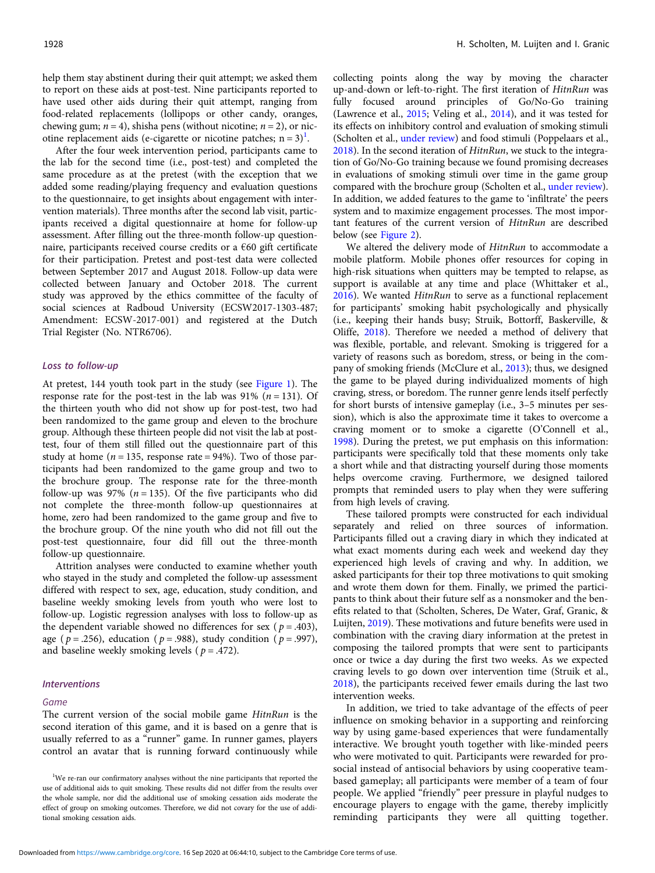help them stay abstinent during their quit attempt; we asked them to report on these aids at post-test. Nine participants reported to have used other aids during their quit attempt, ranging from food-related replacements (lollipops or other candy, oranges, chewing gum;  $n = 4$ ), shisha pens (without nicotine;  $n = 2$ ), or nicotine replacement aids (e-cigarette or nicotine patches;  $n = 3$ )<sup>1</sup>.

After the four week intervention period, participants came to the lab for the second time (i.e., post-test) and completed the same procedure as at the pretest (with the exception that we added some reading/playing frequency and evaluation questions to the questionnaire, to get insights about engagement with intervention materials). Three months after the second lab visit, participants received a digital questionnaire at home for follow-up assessment. After filling out the three-month follow-up questionnaire, participants received course credits or a €60 gift certificate for their participation. Pretest and post-test data were collected between September 2017 and August 2018. Follow-up data were collected between January and October 2018. The current study was approved by the ethics committee of the faculty of social sciences at Radboud University (ECSW2017-1303-487; Amendment: ECSW-2017-001) and registered at the Dutch Trial Register (No. NTR6706).

#### Loss to follow-up

At pretest, 144 youth took part in the study (see [Figure 1](#page-6-0)). The response rate for the post-test in the lab was  $91\%$  ( $n = 131$ ). Of the thirteen youth who did not show up for post-test, two had been randomized to the game group and eleven to the brochure group. Although these thirteen people did not visit the lab at posttest, four of them still filled out the questionnaire part of this study at home ( $n = 135$ , response rate = 94%). Two of those participants had been randomized to the game group and two to the brochure group. The response rate for the three-month follow-up was 97% ( $n = 135$ ). Of the five participants who did not complete the three-month follow-up questionnaires at home, zero had been randomized to the game group and five to the brochure group. Of the nine youth who did not fill out the post-test questionnaire, four did fill out the three-month follow-up questionnaire.

Attrition analyses were conducted to examine whether youth who stayed in the study and completed the follow-up assessment differed with respect to sex, age, education, study condition, and baseline weekly smoking levels from youth who were lost to follow-up. Logistic regression analyses with loss to follow-up as the dependent variable showed no differences for sex ( $p = .403$ ), age ( $p = .256$ ), education ( $p = .988$ ), study condition ( $p = .997$ ), and baseline weekly smoking levels ( $p = .472$ ).

## **Interventions**

#### Game

The current version of the social mobile game HitnRun is the second iteration of this game, and it is based on a genre that is usually referred to as a "runner" game. In runner games, players control an avatar that is running forward continuously while collecting points along the way by moving the character up-and-down or left-to-right. The first iteration of HitnRun was fully focused around principles of Go/No-Go training (Lawrence et al., [2015;](#page-18-0) Veling et al., [2014](#page-20-0)), and it was tested for its effects on inhibitory control and evaluation of smoking stimuli (Scholten et al., [under review](#page-19-0)) and food stimuli (Poppelaars et al., [2018](#page-19-0)). In the second iteration of HitnRun, we stuck to the integration of Go/No-Go training because we found promising decreases in evaluations of smoking stimuli over time in the game group compared with the brochure group (Scholten et al., [under review](#page-19-0)). In addition, we added features to the game to 'infiltrate' the peers system and to maximize engagement processes. The most important features of the current version of HitnRun are described below (see [Figure 2\)](#page-7-0).

We altered the delivery mode of HitnRun to accommodate a mobile platform. Mobile phones offer resources for coping in high-risk situations when quitters may be tempted to relapse, as support is available at any time and place (Whittaker et al., [2016](#page-20-0)). We wanted HitnRun to serve as a functional replacement for participants' smoking habit psychologically and physically (i.e., keeping their hands busy; Struik, Bottorff, Baskerville, & Oliffe, [2018\)](#page-19-0). Therefore we needed a method of delivery that was flexible, portable, and relevant. Smoking is triggered for a variety of reasons such as boredom, stress, or being in the company of smoking friends (McClure et al., [2013\)](#page-18-0); thus, we designed the game to be played during individualized moments of high craving, stress, or boredom. The runner genre lends itself perfectly for short bursts of intensive gameplay (i.e., 3–5 minutes per session), which is also the approximate time it takes to overcome a craving moment or to smoke a cigarette (O'Connell et al., [1998](#page-19-0)). During the pretest, we put emphasis on this information: participants were specifically told that these moments only take a short while and that distracting yourself during those moments helps overcome craving. Furthermore, we designed tailored prompts that reminded users to play when they were suffering from high levels of craving.

These tailored prompts were constructed for each individual separately and relied on three sources of information. Participants filled out a craving diary in which they indicated at what exact moments during each week and weekend day they experienced high levels of craving and why. In addition, we asked participants for their top three motivations to quit smoking and wrote them down for them. Finally, we primed the participants to think about their future self as a nonsmoker and the benefits related to that (Scholten, Scheres, De Water, Graf, Granic, & Luijten, [2019](#page-19-0)). These motivations and future benefits were used in combination with the craving diary information at the pretest in composing the tailored prompts that were sent to participants once or twice a day during the first two weeks. As we expected craving levels to go down over intervention time (Struik et al., [2018](#page-19-0)), the participants received fewer emails during the last two intervention weeks.

In addition, we tried to take advantage of the effects of peer influence on smoking behavior in a supporting and reinforcing way by using game-based experiences that were fundamentally interactive. We brought youth together with like-minded peers who were motivated to quit. Participants were rewarded for prosocial instead of antisocial behaviors by using cooperative teambased gameplay; all participants were member of a team of four people. We applied "friendly" peer pressure in playful nudges to encourage players to engage with the game, thereby implicitly reminding participants they were all quitting together.

<sup>&</sup>lt;sup>1</sup>We re-ran our confirmatory analyses without the nine participants that reported the use of additional aids to quit smoking. These results did not differ from the results over the whole sample, nor did the additional use of smoking cessation aids moderate the effect of group on smoking outcomes. Therefore, we did not covary for the use of additional smoking cessation aids.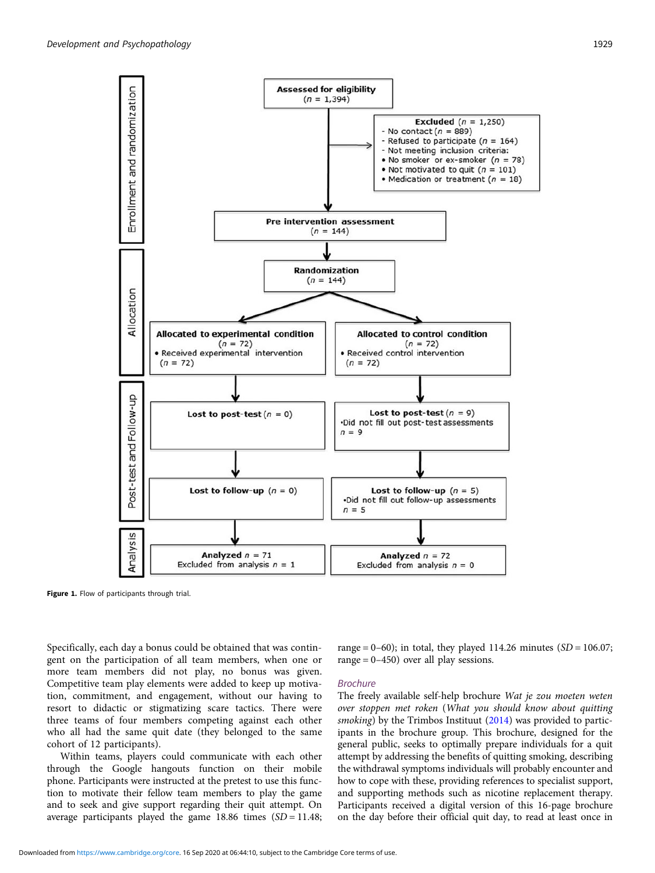<span id="page-6-0"></span>

Figure 1. Flow of participants through trial.

Specifically, each day a bonus could be obtained that was contingent on the participation of all team members, when one or more team members did not play, no bonus was given. Competitive team play elements were added to keep up motivation, commitment, and engagement, without our having to resort to didactic or stigmatizing scare tactics. There were three teams of four members competing against each other who all had the same quit date (they belonged to the same cohort of 12 participants).

Within teams, players could communicate with each other through the Google hangouts function on their mobile phone. Participants were instructed at the pretest to use this function to motivate their fellow team members to play the game and to seek and give support regarding their quit attempt. On average participants played the game  $18.86$  times  $(SD = 11.48;$  range = 0–60); in total, they played 114.26 minutes  $(SD = 106.07;$ range  $= 0-450$ ) over all play sessions.

## Brochure

The freely available self-help brochure Wat je zou moeten weten over stoppen met roken (What you should know about quitting smoking) by the Trimbos Instituut [\(2014\)](#page-20-0) was provided to participants in the brochure group. This brochure, designed for the general public, seeks to optimally prepare individuals for a quit attempt by addressing the benefits of quitting smoking, describing the withdrawal symptoms individuals will probably encounter and how to cope with these, providing references to specialist support, and supporting methods such as nicotine replacement therapy. Participants received a digital version of this 16-page brochure on the day before their official quit day, to read at least once in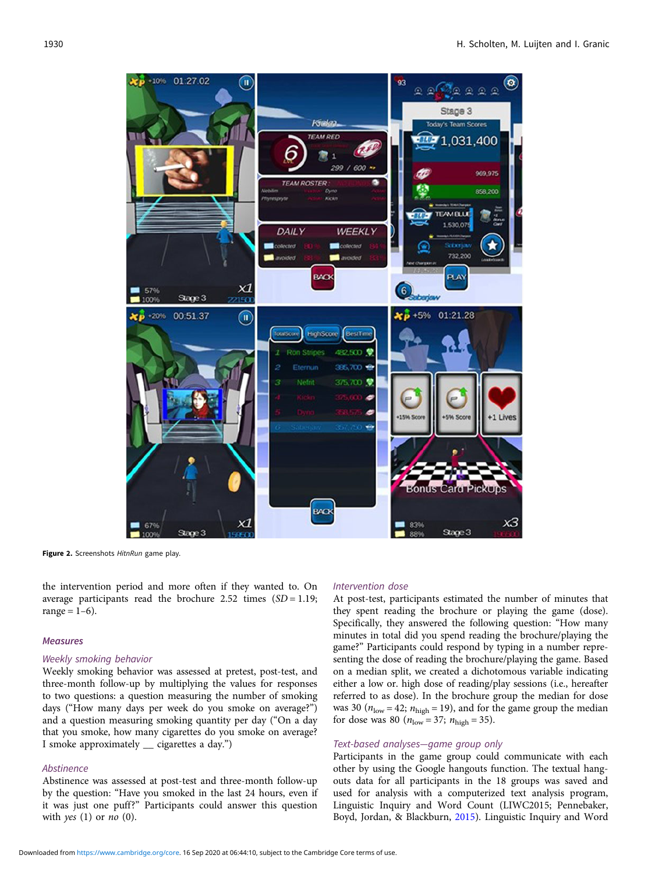<span id="page-7-0"></span>

Figure 2. Screenshots HitnRun game play.

the intervention period and more often if they wanted to. On average participants read the brochure  $2.52$  times  $(SD = 1.19)$ ; range  $= 1-6$ ).

#### **Measures**

## Weekly smoking behavior

Weekly smoking behavior was assessed at pretest, post-test, and three-month follow-up by multiplying the values for responses to two questions: a question measuring the number of smoking days ("How many days per week do you smoke on average?") and a question measuring smoking quantity per day ("On a day that you smoke, how many cigarettes do you smoke on average? I smoke approximately \_\_ cigarettes a day.")

## Abstinence

Abstinence was assessed at post-test and three-month follow-up by the question: "Have you smoked in the last 24 hours, even if it was just one puff?" Participants could answer this question with  $yes (1)$  or no  $(0)$ .

#### Intervention dose

At post-test, participants estimated the number of minutes that they spent reading the brochure or playing the game (dose). Specifically, they answered the following question: "How many minutes in total did you spend reading the brochure/playing the game?" Participants could respond by typing in a number representing the dose of reading the brochure/playing the game. Based on a median split, we created a dichotomous variable indicating either a low or. high dose of reading/play sessions (i.e., hereafter referred to as dose). In the brochure group the median for dose was 30 ( $n_{\text{low}} = 42$ ;  $n_{\text{high}} = 19$ ), and for the game group the median for dose was 80 ( $n_{\text{low}} = 37$ ;  $n_{\text{high}} = 35$ ).

## Text-based analyses—game group only

Participants in the game group could communicate with each other by using the Google hangouts function. The textual hangouts data for all participants in the 18 groups was saved and used for analysis with a computerized text analysis program, Linguistic Inquiry and Word Count (LIWC2015; Pennebaker, Boyd, Jordan, & Blackburn, [2015\)](#page-19-0). Linguistic Inquiry and Word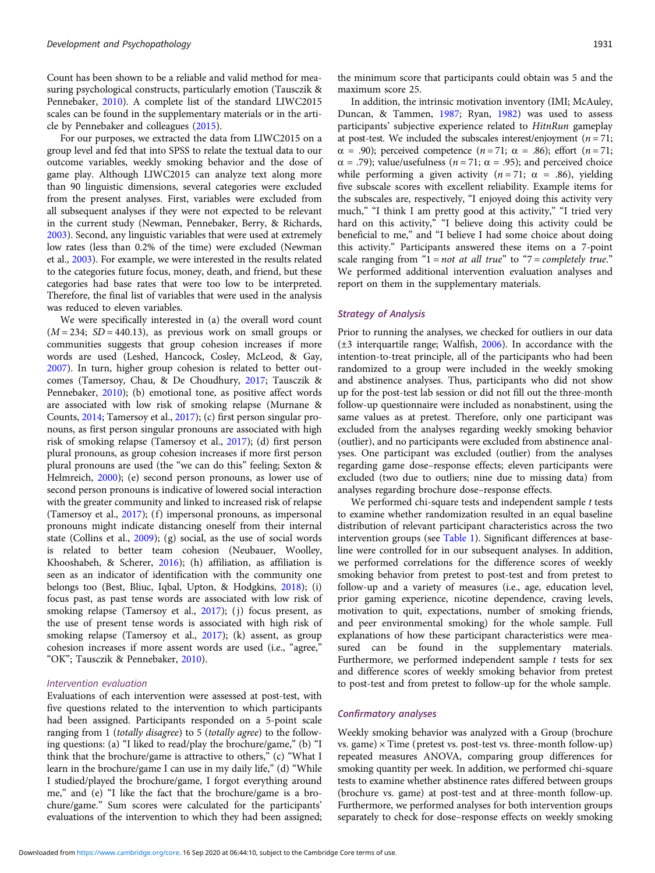Count has been shown to be a reliable and valid method for measuring psychological constructs, particularly emotion (Tausczik & Pennebaker, [2010](#page-19-0)). A complete list of the standard LIWC2015 scales can be found in the supplementary materials or in the article by Pennebaker and colleagues ([2015\)](#page-19-0).

For our purposes, we extracted the data from LIWC2015 on a group level and fed that into SPSS to relate the textual data to our outcome variables, weekly smoking behavior and the dose of game play. Although LIWC2015 can analyze text along more than 90 linguistic dimensions, several categories were excluded from the present analyses. First, variables were excluded from all subsequent analyses if they were not expected to be relevant in the current study (Newman, Pennebaker, Berry, & Richards, [2003\)](#page-18-0). Second, any linguistic variables that were used at extremely low rates (less than 0.2% of the time) were excluded (Newman et al., [2003\)](#page-18-0). For example, we were interested in the results related to the categories future focus, money, death, and friend, but these categories had base rates that were too low to be interpreted. Therefore, the final list of variables that were used in the analysis was reduced to eleven variables.

We were specifically interested in (a) the overall word count  $(M = 234; SD = 440.13)$ , as previous work on small groups or communities suggests that group cohesion increases if more words are used (Leshed, Hancock, Cosley, McLeod, & Gay, [2007\)](#page-18-0). In turn, higher group cohesion is related to better outcomes (Tamersoy, Chau, & De Choudhury, [2017;](#page-19-0) Tausczik & Pennebaker, [2010\)](#page-19-0); (b) emotional tone, as positive affect words are associated with low risk of smoking relapse (Murnane & Counts, [2014](#page-18-0); Tamersoy et al., [2017\)](#page-19-0); (c) first person singular pronouns, as first person singular pronouns are associated with high risk of smoking relapse (Tamersoy et al., [2017\)](#page-19-0); (d) first person plural pronouns, as group cohesion increases if more first person plural pronouns are used (the "we can do this" feeling; Sexton & Helmreich, [2000\)](#page-19-0); (e) second person pronouns, as lower use of second person pronouns is indicative of lowered social interaction with the greater community and linked to increased risk of relapse (Tamersoy et al., [2017\)](#page-19-0); (f) impersonal pronouns, as impersonal pronouns might indicate distancing oneself from their internal state (Collins et al., [2009\)](#page-17-0); (g) social, as the use of social words is related to better team cohesion (Neubauer, Woolley, Khooshabeh, & Scherer, [2016](#page-18-0)); (h) affiliation, as affiliation is seen as an indicator of identification with the community one belongs too (Best, Bliuc, Iqbal, Upton, & Hodgkins, [2018](#page-17-0)); (i) focus past, as past tense words are associated with low risk of smoking relapse (Tamersoy et al., [2017\)](#page-19-0); (j) focus present, as the use of present tense words is associated with high risk of smoking relapse (Tamersoy et al., [2017](#page-19-0)); (k) assent, as group cohesion increases if more assent words are used (i.e., "agree," "OK"; Tausczik & Pennebaker, [2010\)](#page-19-0).

## Intervention evaluation

Evaluations of each intervention were assessed at post-test, with five questions related to the intervention to which participants had been assigned. Participants responded on a 5-point scale ranging from 1 (totally disagree) to 5 (totally agree) to the following questions: (a) "I liked to read/play the brochure/game," (b) "I think that the brochure/game is attractive to others," (c) "What I learn in the brochure/game I can use in my daily life," (d) "While I studied/played the brochure/game, I forgot everything around me," and (e) "I like the fact that the brochure/game is a brochure/game." Sum scores were calculated for the participants' evaluations of the intervention to which they had been assigned; the minimum score that participants could obtain was 5 and the maximum score 25.

In addition, the intrinsic motivation inventory (IMI; McAuley, Duncan, & Tammen, [1987;](#page-18-0) Ryan, [1982](#page-19-0)) was used to assess participants' subjective experience related to HitnRun gameplay at post-test. We included the subscales interest/enjoyment ( $n = 71$ ;  $\alpha = .90$ ); perceived competence ( $n = 71$ ;  $\alpha = .86$ ); effort ( $n = 71$ ;  $\alpha$  = .79); value/usefulness ( $n = 71$ ;  $\alpha$  = .95); and perceived choice while performing a given activity ( $n = 71$ ;  $\alpha = .86$ ), yielding five subscale scores with excellent reliability. Example items for the subscales are, respectively, "I enjoyed doing this activity very much," "I think I am pretty good at this activity," "I tried very hard on this activity," "I believe doing this activity could be beneficial to me," and "I believe I had some choice about doing this activity." Participants answered these items on a 7-point scale ranging from " $1 = not$  at all true" to " $7 = completely$  true." We performed additional intervention evaluation analyses and report on them in the supplementary materials.

#### Strategy of Analysis

Prior to running the analyses, we checked for outliers in our data (±3 interquartile range; Walfish, [2006](#page-20-0)). In accordance with the intention-to-treat principle, all of the participants who had been randomized to a group were included in the weekly smoking and abstinence analyses. Thus, participants who did not show up for the post-test lab session or did not fill out the three-month follow-up questionnaire were included as nonabstinent, using the same values as at pretest. Therefore, only one participant was excluded from the analyses regarding weekly smoking behavior (outlier), and no participants were excluded from abstinence analyses. One participant was excluded (outlier) from the analyses regarding game dose–response effects; eleven participants were excluded (two due to outliers; nine due to missing data) from analyses regarding brochure dose–response effects.

We performed chi-square tests and independent sample t tests to examine whether randomization resulted in an equal baseline distribution of relevant participant characteristics across the two intervention groups (see [Table 1\)](#page-4-0). Significant differences at baseline were controlled for in our subsequent analyses. In addition, we performed correlations for the difference scores of weekly smoking behavior from pretest to post-test and from pretest to follow-up and a variety of measures (i.e., age, education level, prior gaming experience, nicotine dependence, craving levels, motivation to quit, expectations, number of smoking friends, and peer environmental smoking) for the whole sample. Full explanations of how these participant characteristics were measured can be found in the supplementary materials. Furthermore, we performed independent sample  $t$  tests for sex and difference scores of weekly smoking behavior from pretest to post-test and from pretest to follow-up for the whole sample.

#### Confirmatory analyses

Weekly smoking behavior was analyzed with a Group (brochure vs. game)  $\times$  Time (pretest vs. post-test vs. three-month follow-up) repeated measures ANOVA, comparing group differences for smoking quantity per week. In addition, we performed chi-square tests to examine whether abstinence rates differed between groups (brochure vs. game) at post-test and at three-month follow-up. Furthermore, we performed analyses for both intervention groups separately to check for dose–response effects on weekly smoking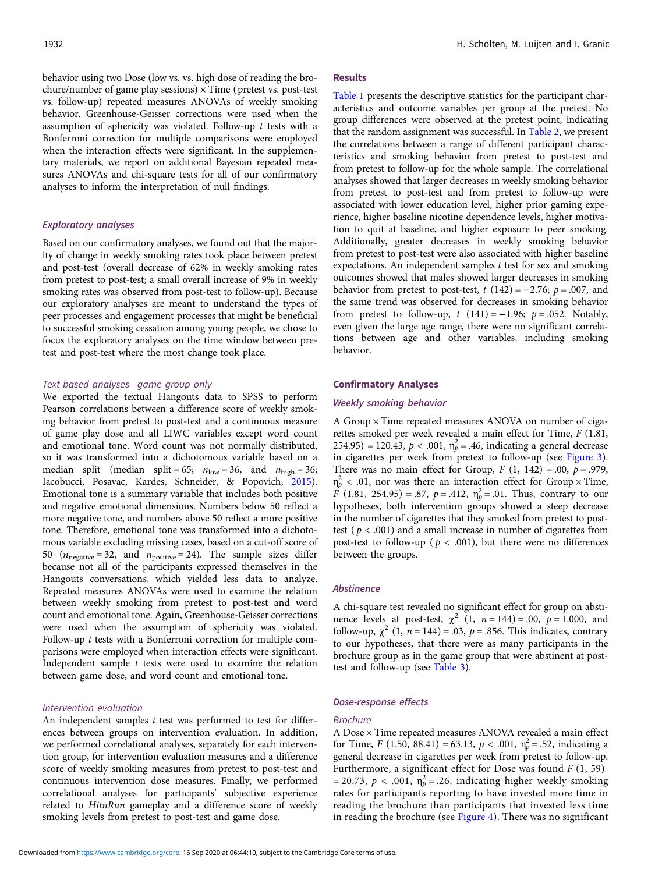behavior using two Dose (low vs. vs. high dose of reading the brochure/number of game play sessions)  $\times$  Time (pretest vs. post-test vs. follow-up) repeated measures ANOVAs of weekly smoking behavior. Greenhouse-Geisser corrections were used when the assumption of sphericity was violated. Follow-up  $t$  tests with a Bonferroni correction for multiple comparisons were employed when the interaction effects were significant. In the supplementary materials, we report on additional Bayesian repeated measures ANOVAs and chi-square tests for all of our confirmatory analyses to inform the interpretation of null findings.

## Exploratory analyses

Based on our confirmatory analyses, we found out that the majority of change in weekly smoking rates took place between pretest and post-test (overall decrease of 62% in weekly smoking rates from pretest to post-test; a small overall increase of 9% in weekly smoking rates was observed from post-test to follow-up). Because our exploratory analyses are meant to understand the types of peer processes and engagement processes that might be beneficial to successful smoking cessation among young people, we chose to focus the exploratory analyses on the time window between pretest and post-test where the most change took place.

#### Text-based analyses—game group only

We exported the textual Hangouts data to SPSS to perform Pearson correlations between a difference score of weekly smoking behavior from pretest to post-test and a continuous measure of game play dose and all LIWC variables except word count and emotional tone. Word count was not normally distributed, so it was transformed into a dichotomous variable based on a median split (median split = 65;  $n_{\text{low}} = 36$ , and  $n_{\text{high}} = 36$ ; Iacobucci, Posavac, Kardes, Schneider, & Popovich, [2015\)](#page-18-0). Emotional tone is a summary variable that includes both positive and negative emotional dimensions. Numbers below 50 reflect a more negative tone, and numbers above 50 reflect a more positive tone. Therefore, emotional tone was transformed into a dichotomous variable excluding missing cases, based on a cut-off score of 50 ( $n_{\text{negative}} = 32$ , and  $n_{\text{positive}} = 24$ ). The sample sizes differ because not all of the participants expressed themselves in the Hangouts conversations, which yielded less data to analyze. Repeated measures ANOVAs were used to examine the relation between weekly smoking from pretest to post-test and word count and emotional tone. Again, Greenhouse-Geisser corrections were used when the assumption of sphericity was violated. Follow-up t tests with a Bonferroni correction for multiple comparisons were employed when interaction effects were significant. Independent sample t tests were used to examine the relation between game dose, and word count and emotional tone.

## Intervention evaluation

An independent samples  $t$  test was performed to test for differences between groups on intervention evaluation. In addition, we performed correlational analyses, separately for each intervention group, for intervention evaluation measures and a difference score of weekly smoking measures from pretest to post-test and continuous intervention dose measures. Finally, we performed correlational analyses for participants' subjective experience related to HitnRun gameplay and a difference score of weekly smoking levels from pretest to post-test and game dose.

#### Results

[Table 1](#page-4-0) presents the descriptive statistics for the participant characteristics and outcome variables per group at the pretest. No group differences were observed at the pretest point, indicating that the random assignment was successful. In [Table 2,](#page-10-0) we present the correlations between a range of different participant characteristics and smoking behavior from pretest to post-test and from pretest to follow-up for the whole sample. The correlational analyses showed that larger decreases in weekly smoking behavior from pretest to post-test and from pretest to follow-up were associated with lower education level, higher prior gaming experience, higher baseline nicotine dependence levels, higher motivation to quit at baseline, and higher exposure to peer smoking. Additionally, greater decreases in weekly smoking behavior from pretest to post-test were also associated with higher baseline expectations. An independent samples  $t$  test for sex and smoking outcomes showed that males showed larger decreases in smoking behavior from pretest to post-test,  $t(142) = -2.76$ ;  $p = .007$ , and the same trend was observed for decreases in smoking behavior from pretest to follow-up, t  $(141) = -1.96$ ;  $p = .052$ . Notably, even given the large age range, there were no significant correlations between age and other variables, including smoking behavior.

#### Confirmatory Analyses

#### Weekly smoking behavior

A Group × Time repeated measures ANOVA on number of cigarettes smoked per week revealed a main effect for Time, F (1.81, 254.95) = 120.43,  $p < .001$ ,  $\eta_p^2 = .46$ , indicating a general decrease in cigarettes per week from pretest to follow-up (see [Figure 3](#page-11-0)). There was no main effect for Group,  $F(1, 142) = .00$ ,  $p = .979$ ,  $\eta_p^2$  < .01, nor was there an interaction effect for Group × Time,  $F (1.81, 254.95) = .87, p = .412, \eta_p^2 = .01$ . Thus, contrary to our hypotheses, both intervention groups showed a steep decrease in the number of cigarettes that they smoked from pretest to posttest ( $p < .001$ ) and a small increase in number of cigarettes from post-test to follow-up ( $p < .001$ ), but there were no differences between the groups.

## Abstinence

A chi-square test revealed no significant effect for group on abstinence levels at post-test,  $\chi^2$  (1,  $n = 144$ ) = .00,  $p = 1.000$ , and follow-up,  $\chi^2$  (1,  $n = 144$ ) = .03,  $p = .856$ . This indicates, contrary to our hypotheses, that there were as many participants in the brochure group as in the game group that were abstinent at posttest and follow-up (see [Table 3\)](#page-11-0).

#### Dose-response effects

#### **Brochure**

A Dose × Time repeated measures ANOVA revealed a main effect for Time, F (1.50, 88.41) = 63.13,  $p < .001$ ,  $\eta_p^2 = .52$ , indicating a general decrease in cigarettes per week from pretest to follow-up. Furthermore, a significant effect for Dose was found  $F(1, 59)$ = 20.73,  $p < .001$ ,  $\eta_p^2 = .26$ , indicating higher weekly smoking rates for participants reporting to have invested more time in reading the brochure than participants that invested less time in reading the brochure (see [Figure 4](#page-11-0)). There was no significant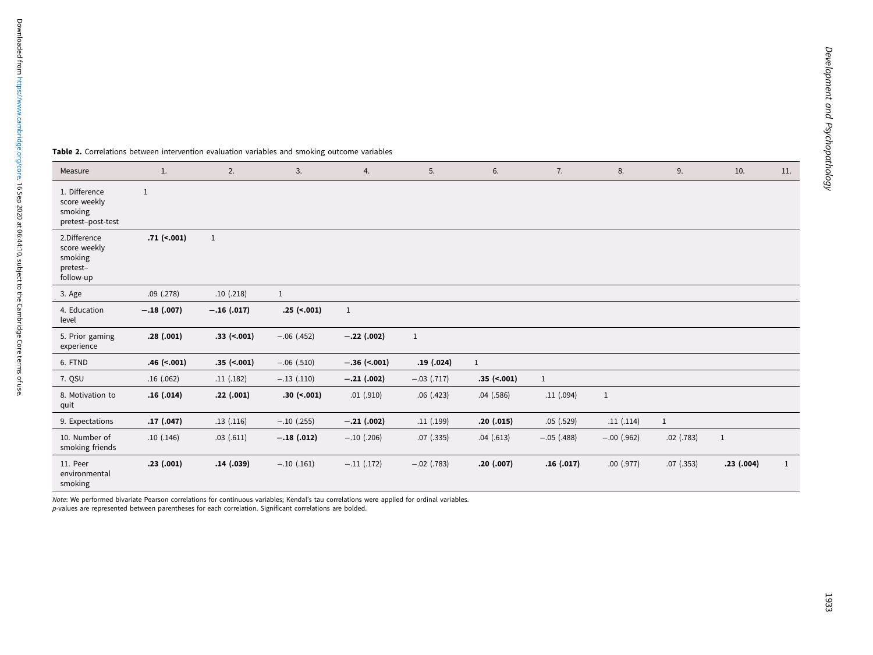#### Measure 1. 2. 3. 4. 5. 6. 7. 8. 9. 10. 11.  $11.$ 1. Difference score weekly smoking pretest–post-test 12.Differencescore weekly smoking pretest– follow-up  $.71$  (<.001) 1 3. Age .09 (.278) .10 (.218) 1 4. Educationlevel <sup>−</sup>.18 (.007)  $-.16$  (.017)  $.25$  (<.001) 1 5. Prior gaming experience  $.28(.001)$   $.33 (-.001)$   $-.06 (.452)$  $-.22(.002)$  1 6. FTND .46 (<.001) .35 (<.001) <sup>−</sup>.06 (.510)  $-0.36$  (<.001) .19 (.024) 1 7. QSU .16 (.062) .11 (.182) <sup>−</sup>.13 (.110)  $-0.21$  (.002)  $-0.03$  (.717) .35 (<.001) 1 8. Motivation to quit 1**6 (.014) .21 (.5**86) .04 (.423) .06 (.423) .01 **.010 .586 .014) .30 .414 .041 .054) .16** 9. Expectations .17 (.047) .13 (.116) -.10 (.255) **-.21 (.002)** .11 (.199) .20 (.015) .05 (.529) .11 (.114) 1 10. Number of smoking friends  $.10(.146)$   $.03(.611)$ <sup>−</sup>.18 (.012) <sup>−</sup>.10 (.206) .07 (.335) .04 (.613) <sup>−</sup>.05 (.488) <sup>−</sup>.00 (.962) .02 (.783) <sup>1</sup> 11. Peerenvironmentalsmoking .23 (**.001) 23.** (353) 07. (977) 00. **(0.017) 16. (007) 20.** (887.) 02- (171.) 11.− (10.01) 16. (1001) 23.<br>ا

#### <span id="page-10-0"></span>Table 2. Correlations between intervention evaluation variables and smoking outcome variables

Note: We performed bivariate Pearson correlations for continuous variables; Kendal'<sup>s</sup> tau correlations were applied for ordinal variables.

p-values are represented between parentheses for each correlation. Significant correlations are bolded.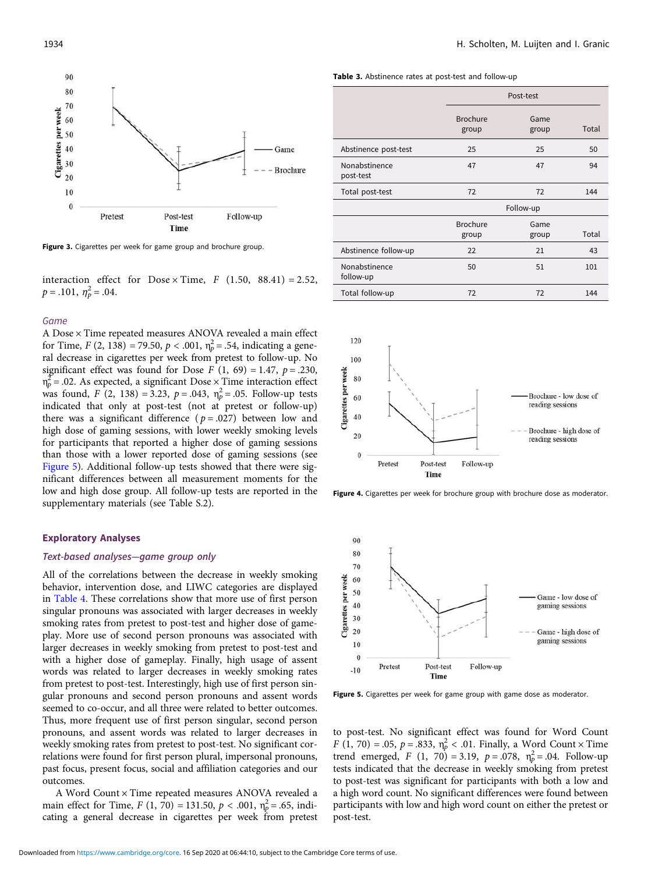<span id="page-11-0"></span>

Figure 3. Cigarettes per week for game group and brochure group.

interaction effect for Dose  $\times$  Time, F (1.50, 88.41) = 2.52,  $p = .101, \eta_p^2 = .04.$ 

#### Game

A Dose × Time repeated measures ANOVA revealed a main effect for Time,  $F(2, 138) = 79.50, p < .001, \eta_p^2 = .54$ , indicating a general decrease in cigarettes per week from pretest to follow-up. No significant effect was found for Dose  $F(1, 69) = 1.47$ ,  $p = .230$ ,  $\eta_{p}^{\Sigma} = .02$ . As expected, a significant Dose  $\times$  Time interaction effect was found,  $F(2, 138) = 3.23$ ,  $p = .043$ ,  $\eta_p^2 = .05$ . Follow-up tests indicated that only at post-test (not at pretest or follow-up) there was a significant difference ( $p = .027$ ) between low and high dose of gaming sessions, with lower weekly smoking levels for participants that reported a higher dose of gaming sessions than those with a lower reported dose of gaming sessions (see Figure 5). Additional follow-up tests showed that there were significant differences between all measurement moments for the low and high dose group. All follow-up tests are reported in the supplementary materials (see Table S.2).

## Exploratory Analyses

## Text-based analyses—game group only

All of the correlations between the decrease in weekly smoking behavior, intervention dose, and LIWC categories are displayed in [Table 4](#page-12-0). These correlations show that more use of first person singular pronouns was associated with larger decreases in weekly smoking rates from pretest to post-test and higher dose of gameplay. More use of second person pronouns was associated with larger decreases in weekly smoking from pretest to post-test and with a higher dose of gameplay. Finally, high usage of assent words was related to larger decreases in weekly smoking rates from pretest to post-test. Interestingly, high use of first person singular pronouns and second person pronouns and assent words seemed to co-occur, and all three were related to better outcomes. Thus, more frequent use of first person singular, second person pronouns, and assent words was related to larger decreases in weekly smoking rates from pretest to post-test. No significant correlations were found for first person plural, impersonal pronouns, past focus, present focus, social and affiliation categories and our outcomes.

A Word Count × Time repeated measures ANOVA revealed a main effect for Time,  $F(1, 70) = 131.50, p < .001, \eta_p^2 = .65$ , indicating a general decrease in cigarettes per week from pretest

Table 3. Abstinence rates at post-test and follow-up

|                            |                          | Post-test     |       |
|----------------------------|--------------------------|---------------|-------|
|                            | <b>Brochure</b><br>group | Game<br>group | Total |
| Abstinence post-test       | 25                       | 25            | 50    |
| Nonabstinence<br>post-test | 47                       | 47            | 94    |
| Total post-test            | 72                       | 72            | 144   |
|                            |                          | Follow-up     |       |
|                            | <b>Brochure</b><br>group | Game<br>group | Total |
| Abstinence follow-up       | 22                       | 21            | 43    |
| Nonabstinence<br>follow-up | 50                       | 51            | 101   |
| Total follow-up            | 72                       | 72            | 144   |



Figure 4. Cigarettes per week for brochure group with brochure dose as moderator.



Figure 5. Cigarettes per week for game group with game dose as moderator.

to post-test. No significant effect was found for Word Count  $F(1, 70) = .05, p = .833, \eta_p^2 < .01$ . Finally, a Word Count  $\times$  Time trend emerged,  $F(1, 70) = 3.19$ ,  $p = .078$ ,  $\eta_p^2 = .04$ . Follow-up tests indicated that the decrease in weekly smoking from pretest to post-test was significant for participants with both a low and a high word count. No significant differences were found between participants with low and high word count on either the pretest or post-test.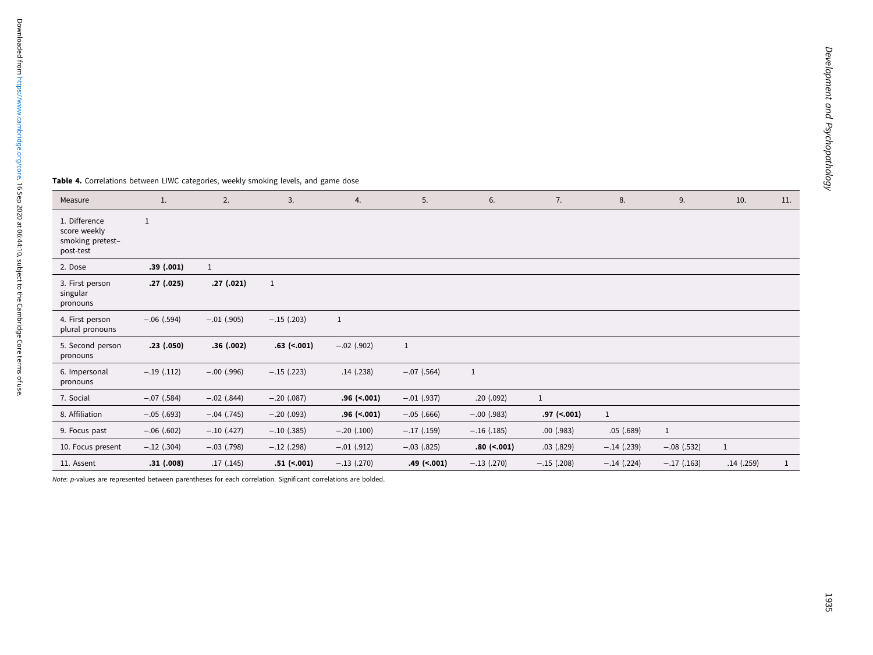<span id="page-12-0"></span>

| Table 4. Correlations between LIWC categories, weekly smoking levels, and game dose |  |  |
|-------------------------------------------------------------------------------------|--|--|
|-------------------------------------------------------------------------------------|--|--|

| Measure                                                        | 1.              | 2.            | 3.            | 4.            | 5.            | 6.            | 7.            | 8.           | 9.           | 10.          | 11. |
|----------------------------------------------------------------|-----------------|---------------|---------------|---------------|---------------|---------------|---------------|--------------|--------------|--------------|-----|
| 1. Difference<br>score weekly<br>smoking pretest-<br>post-test | $\mathbf{1}$    |               |               |               |               |               |               |              |              |              |     |
| 2. Dose                                                        | .39(.001)       | $\mathbf{1}$  |               |               |               |               |               |              |              |              |     |
| 3. First person<br>singular<br>pronouns                        | .27(.025)       | .27(.021)     | $\mathbf{1}$  |               |               |               |               |              |              |              |     |
| 4. First person<br>plural pronouns                             | $-.06(.594)$    | $-.01(.905)$  | $-.15(.203)$  | $\mathbf{1}$  |               |               |               |              |              |              |     |
| 5. Second person<br>pronouns                                   | .23(.050)       | .36(.002)     | $.63$ (<.001) | $-.02$ (.902) | $\mathbf{1}$  |               |               |              |              |              |     |
| 6. Impersonal<br>pronouns                                      | $-.19(.112)$    | $-.00(.996)$  | $-.15(.223)$  | .14(.238)     | $-.07(.564)$  | $\mathbf{1}$  |               |              |              |              |     |
| 7. Social                                                      | $-.07$ $(.584)$ | $-.02$ (.844) | $-.20(.087)$  | $.96$ (<.001) | $-.01(.937)$  | .20(.092)     | $\mathbf{1}$  |              |              |              |     |
| 8. Affiliation                                                 | $-.05(.693)$    | $-.04$ (.745) | $-.20(.093)$  | $.96$ (<.001) | $-.05(.666)$  | $-.00(.983)$  | $.97$ (<.001) | $\mathbf{1}$ |              |              |     |
| 9. Focus past                                                  | $-.06(.602)$    | $-.10(.427)$  | $-.10(.385)$  | $-.20(.100)$  | $-.17(.159)$  | $-.16(.185)$  | .00(.983)     | .05(.689)    | $1\,$        |              |     |
| 10. Focus present                                              | $-.12(.304)$    | $-.03(.798)$  | $-.12(.298)$  | $-.01(.912)$  | $-.03(.825)$  | $.80$ (<.001) | .03(.829)     | $-.14(.239)$ | $-.08(.532)$ | $\mathbf{1}$ |     |
| 11. Assent                                                     | .31(.008)       | .17(.145)     | $.51$ (<.001) | $-.13(.270)$  | $.49$ (<.001) | $-.13(.270)$  | $-.15(.208)$  | $-.14(.224)$ | $-.17(.163)$ | .14(.259)    | 1   |

Note: p-values are represented between parentheses for each correlation. Significant correlations are bolded.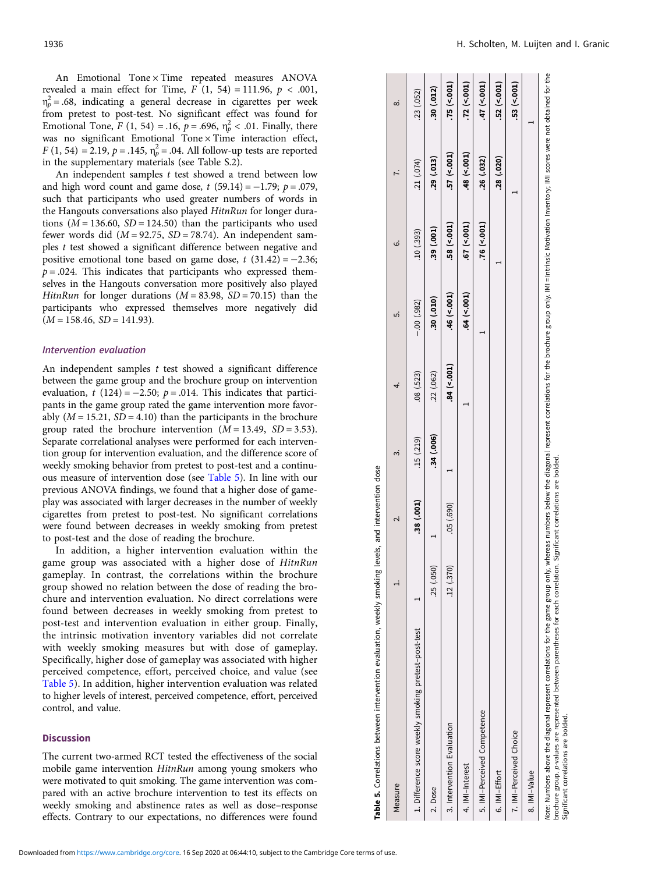An Emotional Tone × Time repeated measures ANOVA revealed a main effect for Time,  $F(1, 54) = 111.96$ ,  $p < .001$ ,  $\eta_p^2$  = .68, indicating a general decrease in cigarettes per week from pretest to post-test. No significant effect was found for Emotional Tone,  $F(1, 54) = .16$ ,  $p = .696$ ,  $\eta_p^2 < .01$ . Finally, there was no significant Emotional Tone × Time interaction effect,  $F(1, 54) = 2.19, p = .145, \eta_p^2 = .04$ . All follow-up tests are reported in the supplementary materials (see Table S.2).

An independent samples  $t$  test showed a trend between low and high word count and game dose,  $t$  (59.14) = −1.79;  $p = .079$ , such that participants who used greater numbers of words in the Hangouts conversations also played HitnRun for longer durations ( $M = 136.60$ ,  $SD = 124.50$ ) than the participants who used fewer words did  $(M = 92.75, SD = 78.74)$ . An independent samples t test showed a significant difference between negative and positive emotional tone based on game dose,  $t$  (31.42) = -2.36;  $p = 0.024$ . This indicates that participants who expressed themselves in the Hangouts conversation more positively also played HitnRun for longer durations  $(M = 83.98, SD = 70.15)$  than the participants who expressed themselves more negatively did  $(M = 158.46, SD = 141.93).$ 

## Intervention evaluation

An independent samples  $t$  test showed a significant difference between the game group and the brochure group on intervention evaluation,  $t(124) = -2.50$ ;  $p = .014$ . This indicates that participants in the game group rated the game intervention more favorably  $(M = 15.21, SD = 4.10)$  than the participants in the brochure group rated the brochure intervention  $(M = 13.49, SD = 3.53)$ . Separate correlational analyses were performed for each intervention group for intervention evaluation, and the difference score of weekly smoking behavior from pretest to post-test and a continuous measure of intervention dose (see Table 5). In line with our previous ANOVA findings, we found that a higher dose of gameplay was associated with larger decreases in the number of weekly cigarettes from pretest to post-test. No significant correlations were found between decreases in weekly smoking from pretest to post-test and the dose of reading the brochure.

In addition, a higher intervention evaluation within the game group was associated with a higher dose of HitnRun gameplay. In contrast, the correlations within the brochure group showed no relation between the dose of reading the brochure and intervention evaluation. No direct correlations were found between decreases in weekly smoking from pretest to post-test and intervention evaluation in either group. Finally, the intrinsic motivation inventory variables did not correlate with weekly smoking measures but with dose of gameplay. Specifically, higher dose of gameplay was associated with higher perceived competence, effort, perceived choice, and value (see Table 5). In addition, higher intervention evaluation was related to higher levels of interest, perceived competence, effort, perceived control, and value.

## Discussion

The current two-armed RCT tested the effectiveness of the social mobile game intervention HitnRun among young smokers who were motivated to quit smoking. The game intervention was compared with an active brochure intervention to test its effects on weekly smoking and abstinence rates as well as dose–response effects. Contrary to our expectations, no differences were found

| Measure                                                                                                                                                                                                                                                                                      |           | $\dot{\sim}$                                                                                                                                                                                                                   | ന്       | 4.        | 5                | ق                    |              | ∞             |
|----------------------------------------------------------------------------------------------------------------------------------------------------------------------------------------------------------------------------------------------------------------------------------------------|-----------|--------------------------------------------------------------------------------------------------------------------------------------------------------------------------------------------------------------------------------|----------|-----------|------------------|----------------------|--------------|---------------|
| 1. Difference score weekly smoking pretest-post-test                                                                                                                                                                                                                                         |           | (001, 38)                                                                                                                                                                                                                      | .15(219) | .08(.523) | $-0.00$ $(.982)$ | .10(.393)            | .21(.074)    | .23(.052)     |
| 2. Dose                                                                                                                                                                                                                                                                                      | .25(.050) |                                                                                                                                                                                                                                | .34(006) | .22(.062) | (010, 08.        | $(001)$ 68.          | (29)(013)    | (0.12)        |
| 3. Intervention Evaluation                                                                                                                                                                                                                                                                   | .12(.370) | $(069)$ 50.                                                                                                                                                                                                                    |          | (1001)    | $(100.5)$ 94.    | $(58 (-001))$        | (57 (301)    | $.75$ (<.001) |
| 4. IMI-Interest                                                                                                                                                                                                                                                                              |           |                                                                                                                                                                                                                                |          |           | $.64$ (<.001)    | $(100^{\circ}$ >) /9 | $(1001)$ 84. | $.72$ (<.001) |
| 5. IMI-Perceived Competence                                                                                                                                                                                                                                                                  |           |                                                                                                                                                                                                                                |          |           |                  | $.76$ (<.001)        | (0.032)      | $.47$ (<.001) |
| 6. IMI-Effort                                                                                                                                                                                                                                                                                |           |                                                                                                                                                                                                                                |          |           |                  |                      | (020, 28)    | $.52$ (<.001) |
| 7. IMI-Perceived Choice                                                                                                                                                                                                                                                                      |           |                                                                                                                                                                                                                                |          |           |                  |                      |              | $.53 (-001)$  |
| 8. IMI-Value                                                                                                                                                                                                                                                                                 |           |                                                                                                                                                                                                                                |          |           |                  |                      |              |               |
| Note: Numbers above the diagonal represent correlations for the game group only, whereas numbers below the diagonal represent correlations for the brochure group only. IMI = Intrinsic Motivation Inventory, IMI scores were<br>a shekarar 1980 ha kata wasan ƙwallon ƙafa ta ƙasar Ingila. |           | really a second contract of the second contract of the second contract of the second contract of the second contract of the second contract of the second contract of the second contract of the second contract of the second |          |           |                  |                      |              |               |

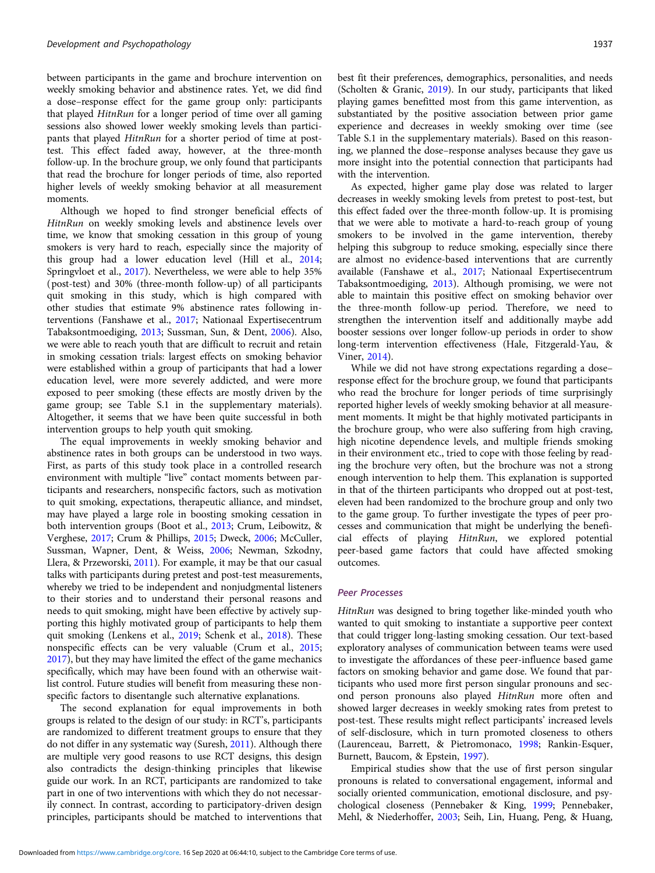between participants in the game and brochure intervention on weekly smoking behavior and abstinence rates. Yet, we did find a dose–response effect for the game group only: participants that played HitnRun for a longer period of time over all gaming sessions also showed lower weekly smoking levels than participants that played HitnRun for a shorter period of time at posttest. This effect faded away, however, at the three-month follow-up. In the brochure group, we only found that participants that read the brochure for longer periods of time, also reported higher levels of weekly smoking behavior at all measurement moments.

Although we hoped to find stronger beneficial effects of HitnRun on weekly smoking levels and abstinence levels over time, we know that smoking cessation in this group of young smokers is very hard to reach, especially since the majority of this group had a lower education level (Hill et al., [2014;](#page-18-0) Springvloet et al., [2017](#page-19-0)). Nevertheless, we were able to help 35% (post-test) and 30% (three-month follow-up) of all participants quit smoking in this study, which is high compared with other studies that estimate 9% abstinence rates following interventions (Fanshawe et al., [2017](#page-17-0); Nationaal Expertisecentrum Tabaksontmoediging, [2013](#page-18-0); Sussman, Sun, & Dent, [2006\)](#page-19-0). Also, we were able to reach youth that are difficult to recruit and retain in smoking cessation trials: largest effects on smoking behavior were established within a group of participants that had a lower education level, were more severely addicted, and were more exposed to peer smoking (these effects are mostly driven by the game group; see Table S.1 in the supplementary materials). Altogether, it seems that we have been quite successful in both intervention groups to help youth quit smoking.

The equal improvements in weekly smoking behavior and abstinence rates in both groups can be understood in two ways. First, as parts of this study took place in a controlled research environment with multiple "live" contact moments between participants and researchers, nonspecific factors, such as motivation to quit smoking, expectations, therapeutic alliance, and mindset, may have played a large role in boosting smoking cessation in both intervention groups (Boot et al., [2013;](#page-17-0) Crum, Leibowitz, & Verghese, [2017;](#page-17-0) Crum & Phillips, [2015](#page-17-0); Dweck, [2006;](#page-17-0) McCuller, Sussman, Wapner, Dent, & Weiss, [2006;](#page-18-0) Newman, Szkodny, Llera, & Przeworski, [2011\)](#page-19-0). For example, it may be that our casual talks with participants during pretest and post-test measurements, whereby we tried to be independent and nonjudgmental listeners to their stories and to understand their personal reasons and needs to quit smoking, might have been effective by actively supporting this highly motivated group of participants to help them quit smoking (Lenkens et al., [2019](#page-18-0); Schenk et al., [2018](#page-19-0)). These nonspecific effects can be very valuable (Crum et al., [2015;](#page-17-0) [2017\)](#page-17-0), but they may have limited the effect of the game mechanics specifically, which may have been found with an otherwise waitlist control. Future studies will benefit from measuring these nonspecific factors to disentangle such alternative explanations.

The second explanation for equal improvements in both groups is related to the design of our study: in RCT's, participants are randomized to different treatment groups to ensure that they do not differ in any systematic way (Suresh, [2011\)](#page-19-0). Although there are multiple very good reasons to use RCT designs, this design also contradicts the design-thinking principles that likewise guide our work. In an RCT, participants are randomized to take part in one of two interventions with which they do not necessarily connect. In contrast, according to participatory-driven design principles, participants should be matched to interventions that best fit their preferences, demographics, personalities, and needs (Scholten & Granic, [2019](#page-19-0)). In our study, participants that liked playing games benefitted most from this game intervention, as substantiated by the positive association between prior game experience and decreases in weekly smoking over time (see Table S.1 in the supplementary materials). Based on this reasoning, we planned the dose–response analyses because they gave us more insight into the potential connection that participants had with the intervention.

As expected, higher game play dose was related to larger decreases in weekly smoking levels from pretest to post-test, but this effect faded over the three-month follow-up. It is promising that we were able to motivate a hard-to-reach group of young smokers to be involved in the game intervention, thereby helping this subgroup to reduce smoking, especially since there are almost no evidence-based interventions that are currently available (Fanshawe et al., [2017;](#page-17-0) Nationaal Expertisecentrum Tabaksontmoediging, [2013\)](#page-18-0). Although promising, we were not able to maintain this positive effect on smoking behavior over the three-month follow-up period. Therefore, we need to strengthen the intervention itself and additionally maybe add booster sessions over longer follow-up periods in order to show long-term intervention effectiveness (Hale, Fitzgerald-Yau, & Viner, [2014](#page-18-0)).

While we did not have strong expectations regarding a dose– response effect for the brochure group, we found that participants who read the brochure for longer periods of time surprisingly reported higher levels of weekly smoking behavior at all measurement moments. It might be that highly motivated participants in the brochure group, who were also suffering from high craving, high nicotine dependence levels, and multiple friends smoking in their environment etc., tried to cope with those feeling by reading the brochure very often, but the brochure was not a strong enough intervention to help them. This explanation is supported in that of the thirteen participants who dropped out at post-test, eleven had been randomized to the brochure group and only two to the game group. To further investigate the types of peer processes and communication that might be underlying the beneficial effects of playing HitnRun, we explored potential peer-based game factors that could have affected smoking outcomes.

#### Peer Processes

HitnRun was designed to bring together like-minded youth who wanted to quit smoking to instantiate a supportive peer context that could trigger long-lasting smoking cessation. Our text-based exploratory analyses of communication between teams were used to investigate the affordances of these peer-influence based game factors on smoking behavior and game dose. We found that participants who used more first person singular pronouns and second person pronouns also played HitnRun more often and showed larger decreases in weekly smoking rates from pretest to post-test. These results might reflect participants' increased levels of self-disclosure, which in turn promoted closeness to others (Laurenceau, Barrett, & Pietromonaco, [1998](#page-18-0); Rankin-Esquer, Burnett, Baucom, & Epstein, [1997](#page-19-0)).

Empirical studies show that the use of first person singular pronouns is related to conversational engagement, informal and socially oriented communication, emotional disclosure, and psychological closeness (Pennebaker & King, [1999](#page-19-0); Pennebaker, Mehl, & Niederhoffer, [2003;](#page-19-0) Seih, Lin, Huang, Peng, & Huang,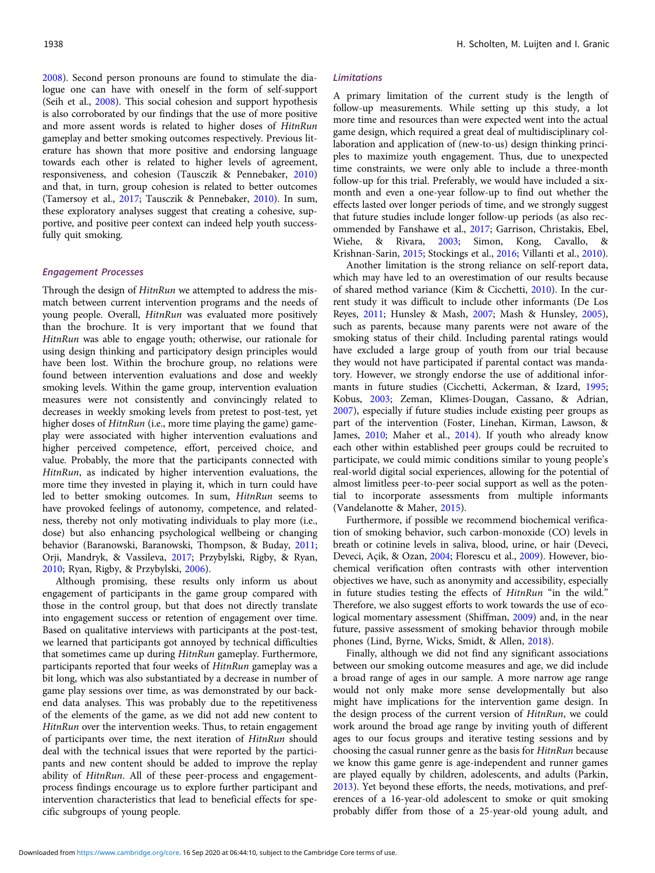[2008\)](#page-19-0). Second person pronouns are found to stimulate the dialogue one can have with oneself in the form of self-support (Seih et al., [2008](#page-19-0)). This social cohesion and support hypothesis is also corroborated by our findings that the use of more positive and more assent words is related to higher doses of HitnRun gameplay and better smoking outcomes respectively. Previous literature has shown that more positive and endorsing language towards each other is related to higher levels of agreement, responsiveness, and cohesion (Tausczik & Pennebaker, [2010\)](#page-19-0) and that, in turn, group cohesion is related to better outcomes (Tamersoy et al., [2017](#page-19-0); Tausczik & Pennebaker, [2010](#page-19-0)). In sum, these exploratory analyses suggest that creating a cohesive, supportive, and positive peer context can indeed help youth successfully quit smoking.

#### Engagement Processes

Through the design of HitnRun we attempted to address the mismatch between current intervention programs and the needs of young people. Overall, HitnRun was evaluated more positively than the brochure. It is very important that we found that HitnRun was able to engage youth; otherwise, our rationale for using design thinking and participatory design principles would have been lost. Within the brochure group, no relations were found between intervention evaluations and dose and weekly smoking levels. Within the game group, intervention evaluation measures were not consistently and convincingly related to decreases in weekly smoking levels from pretest to post-test, yet higher doses of HitnRun (i.e., more time playing the game) gameplay were associated with higher intervention evaluations and higher perceived competence, effort, perceived choice, and value. Probably, the more that the participants connected with HitnRun, as indicated by higher intervention evaluations, the more time they invested in playing it, which in turn could have led to better smoking outcomes. In sum, HitnRun seems to have provoked feelings of autonomy, competence, and relatedness, thereby not only motivating individuals to play more (i.e., dose) but also enhancing psychological wellbeing or changing behavior (Baranowski, Baranowski, Thompson, & Buday, [2011;](#page-17-0) Orji, Mandryk, & Vassileva, [2017;](#page-19-0) Przybylski, Rigby, & Ryan, [2010;](#page-19-0) Ryan, Rigby, & Przybylski, [2006\)](#page-19-0).

Although promising, these results only inform us about engagement of participants in the game group compared with those in the control group, but that does not directly translate into engagement success or retention of engagement over time. Based on qualitative interviews with participants at the post-test, we learned that participants got annoyed by technical difficulties that sometimes came up during HitnRun gameplay. Furthermore, participants reported that four weeks of HitnRun gameplay was a bit long, which was also substantiated by a decrease in number of game play sessions over time, as was demonstrated by our backend data analyses. This was probably due to the repetitiveness of the elements of the game, as we did not add new content to HitnRun over the intervention weeks. Thus, to retain engagement of participants over time, the next iteration of HitnRun should deal with the technical issues that were reported by the participants and new content should be added to improve the replay ability of HitnRun. All of these peer-process and engagementprocess findings encourage us to explore further participant and intervention characteristics that lead to beneficial effects for specific subgroups of young people.

#### Limitations

A primary limitation of the current study is the length of follow-up measurements. While setting up this study, a lot more time and resources than were expected went into the actual game design, which required a great deal of multidisciplinary collaboration and application of (new-to-us) design thinking principles to maximize youth engagement. Thus, due to unexpected time constraints, we were only able to include a three-month follow-up for this trial. Preferably, we would have included a sixmonth and even a one-year follow-up to find out whether the effects lasted over longer periods of time, and we strongly suggest that future studies include longer follow-up periods (as also recommended by Fanshawe et al., [2017](#page-17-0); Garrison, Christakis, Ebel, Wiehe, & Rivara, [2003;](#page-17-0) Simon, Kong, Cavallo, & Krishnan-Sarin, [2015](#page-19-0); Stockings et al., [2016;](#page-19-0) Villanti et al., [2010](#page-20-0)).

Another limitation is the strong reliance on self-report data, which may have led to an overestimation of our results because of shared method variance (Kim & Cicchetti, [2010\)](#page-18-0). In the current study it was difficult to include other informants (De Los Reyes, [2011;](#page-17-0) Hunsley & Mash, [2007](#page-18-0); Mash & Hunsley, [2005](#page-18-0)), such as parents, because many parents were not aware of the smoking status of their child. Including parental ratings would have excluded a large group of youth from our trial because they would not have participated if parental contact was mandatory. However, we strongly endorse the use of additional informants in future studies (Cicchetti, Ackerman, & Izard, [1995](#page-17-0); Kobus, [2003;](#page-18-0) Zeman, Klimes-Dougan, Cassano, & Adrian, [2007](#page-20-0)), especially if future studies include existing peer groups as part of the intervention (Foster, Linehan, Kirman, Lawson, & James, [2010](#page-17-0); Maher et al., [2014\)](#page-18-0). If youth who already know each other within established peer groups could be recruited to participate, we could mimic conditions similar to young people's real-world digital social experiences, allowing for the potential of almost limitless peer-to-peer social support as well as the potential to incorporate assessments from multiple informants (Vandelanotte & Maher, [2015\)](#page-20-0).

Furthermore, if possible we recommend biochemical verification of smoking behavior, such carbon-monoxide (CO) levels in breath or cotinine levels in saliva, blood, urine, or hair (Deveci, Deveci, Açik, & Ozan, [2004](#page-17-0); Florescu et al., [2009](#page-17-0)). However, biochemical verification often contrasts with other intervention objectives we have, such as anonymity and accessibility, especially in future studies testing the effects of HitnRun "in the wild." Therefore, we also suggest efforts to work towards the use of ecological momentary assessment (Shiffman, [2009](#page-19-0)) and, in the near future, passive assessment of smoking behavior through mobile phones (Lind, Byrne, Wicks, Smidt, & Allen, [2018\)](#page-18-0).

Finally, although we did not find any significant associations between our smoking outcome measures and age, we did include a broad range of ages in our sample. A more narrow age range would not only make more sense developmentally but also might have implications for the intervention game design. In the design process of the current version of HitnRun, we could work around the broad age range by inviting youth of different ages to our focus groups and iterative testing sessions and by choosing the casual runner genre as the basis for HitnRun because we know this game genre is age-independent and runner games are played equally by children, adolescents, and adults (Parkin, [2013](#page-19-0)). Yet beyond these efforts, the needs, motivations, and preferences of a 16-year-old adolescent to smoke or quit smoking probably differ from those of a 25-year-old young adult, and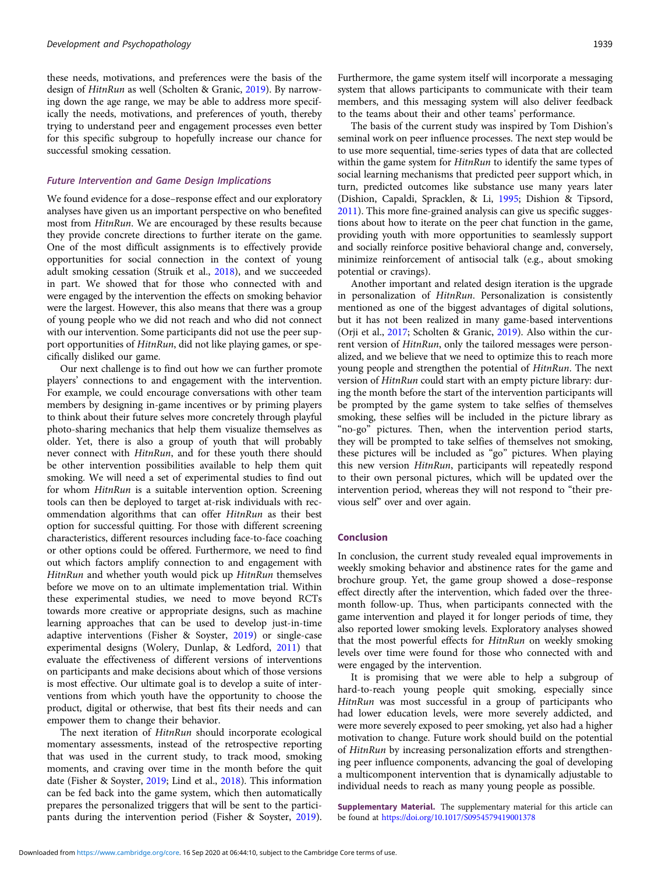these needs, motivations, and preferences were the basis of the design of HitnRun as well (Scholten & Granic, [2019\)](#page-19-0). By narrowing down the age range, we may be able to address more specifically the needs, motivations, and preferences of youth, thereby trying to understand peer and engagement processes even better for this specific subgroup to hopefully increase our chance for successful smoking cessation.

## Future Intervention and Game Design Implications

We found evidence for a dose–response effect and our exploratory analyses have given us an important perspective on who benefited most from HitnRun. We are encouraged by these results because they provide concrete directions to further iterate on the game. One of the most difficult assignments is to effectively provide opportunities for social connection in the context of young adult smoking cessation (Struik et al., [2018\)](#page-19-0), and we succeeded in part. We showed that for those who connected with and were engaged by the intervention the effects on smoking behavior were the largest. However, this also means that there was a group of young people who we did not reach and who did not connect with our intervention. Some participants did not use the peer support opportunities of HitnRun, did not like playing games, or specifically disliked our game.

Our next challenge is to find out how we can further promote players' connections to and engagement with the intervention. For example, we could encourage conversations with other team members by designing in-game incentives or by priming players to think about their future selves more concretely through playful photo-sharing mechanics that help them visualize themselves as older. Yet, there is also a group of youth that will probably never connect with HitnRun, and for these youth there should be other intervention possibilities available to help them quit smoking. We will need a set of experimental studies to find out for whom HitnRun is a suitable intervention option. Screening tools can then be deployed to target at-risk individuals with recommendation algorithms that can offer HitnRun as their best option for successful quitting. For those with different screening characteristics, different resources including face-to-face coaching or other options could be offered. Furthermore, we need to find out which factors amplify connection to and engagement with HitnRun and whether youth would pick up HitnRun themselves before we move on to an ultimate implementation trial. Within these experimental studies, we need to move beyond RCTs towards more creative or appropriate designs, such as machine learning approaches that can be used to develop just-in-time adaptive interventions (Fisher & Soyster, [2019\)](#page-17-0) or single-case experimental designs (Wolery, Dunlap, & Ledford, [2011](#page-20-0)) that evaluate the effectiveness of different versions of interventions on participants and make decisions about which of those versions is most effective. Our ultimate goal is to develop a suite of interventions from which youth have the opportunity to choose the product, digital or otherwise, that best fits their needs and can empower them to change their behavior.

The next iteration of HitnRun should incorporate ecological momentary assessments, instead of the retrospective reporting that was used in the current study, to track mood, smoking moments, and craving over time in the month before the quit date (Fisher & Soyster, [2019;](#page-17-0) Lind et al., [2018](#page-18-0)). This information can be fed back into the game system, which then automatically prepares the personalized triggers that will be sent to the participants during the intervention period (Fisher & Soyster, [2019\)](#page-17-0).

The basis of the current study was inspired by Tom Dishion's seminal work on peer influence processes. The next step would be to use more sequential, time-series types of data that are collected within the game system for *HitnRun* to identify the same types of social learning mechanisms that predicted peer support which, in turn, predicted outcomes like substance use many years later (Dishion, Capaldi, Spracklen, & Li, [1995](#page-17-0); Dishion & Tipsord, [2011](#page-17-0)). This more fine-grained analysis can give us specific suggestions about how to iterate on the peer chat function in the game, providing youth with more opportunities to seamlessly support and socially reinforce positive behavioral change and, conversely, minimize reinforcement of antisocial talk (e.g., about smoking potential or cravings).

Another important and related design iteration is the upgrade in personalization of HitnRun. Personalization is consistently mentioned as one of the biggest advantages of digital solutions, but it has not been realized in many game-based interventions (Orji et al., [2017;](#page-19-0) Scholten & Granic, [2019](#page-19-0)). Also within the current version of HitnRun, only the tailored messages were personalized, and we believe that we need to optimize this to reach more young people and strengthen the potential of HitnRun. The next version of HitnRun could start with an empty picture library: during the month before the start of the intervention participants will be prompted by the game system to take selfies of themselves smoking, these selfies will be included in the picture library as "no-go" pictures. Then, when the intervention period starts, they will be prompted to take selfies of themselves not smoking, these pictures will be included as "go" pictures. When playing this new version HitnRun, participants will repeatedly respond to their own personal pictures, which will be updated over the intervention period, whereas they will not respond to "their previous self" over and over again.

## Conclusion

In conclusion, the current study revealed equal improvements in weekly smoking behavior and abstinence rates for the game and brochure group. Yet, the game group showed a dose–response effect directly after the intervention, which faded over the threemonth follow-up. Thus, when participants connected with the game intervention and played it for longer periods of time, they also reported lower smoking levels. Exploratory analyses showed that the most powerful effects for HitnRun on weekly smoking levels over time were found for those who connected with and were engaged by the intervention.

It is promising that we were able to help a subgroup of hard-to-reach young people quit smoking, especially since HitnRun was most successful in a group of participants who had lower education levels, were more severely addicted, and were more severely exposed to peer smoking, yet also had a higher motivation to change. Future work should build on the potential of HitnRun by increasing personalization efforts and strengthening peer influence components, advancing the goal of developing a multicomponent intervention that is dynamically adjustable to individual needs to reach as many young people as possible.

Supplementary Material. The supplementary material for this article can be found at <https://doi.org/10.1017/S0954579419001378>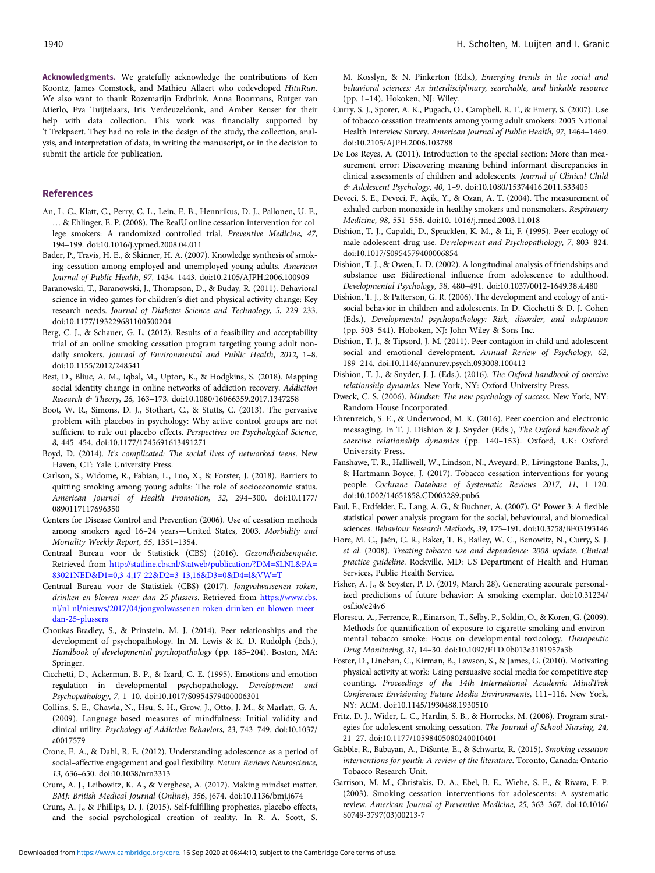<span id="page-17-0"></span>Acknowledgments. We gratefully acknowledge the contributions of Ken Koontz, James Comstock, and Mathieu Allaert who codeveloped HitnRun. We also want to thank Rozemarijn Erdbrink, Anna Boormans, Rutger van Mierlo, Eva Tuijtelaars, Iris Verdeuzeldonk, and Amber Reuser for their help with data collection. This work was financially supported by 't Trekpaert. They had no role in the design of the study, the collection, analysis, and interpretation of data, in writing the manuscript, or in the decision to submit the article for publication.

#### References

- An, L. C., Klatt, C., Perry, C. L., Lein, E. B., Hennrikus, D. J., Pallonen, U. E., … & Ehlinger, E. P. (2008). The RealU online cessation intervention for college smokers: A randomized controlled trial. Preventive Medicine, 47, 194–199. doi:10.1016/j.ypmed.2008.04.011
- Bader, P., Travis, H. E., & Skinner, H. A. (2007). Knowledge synthesis of smoking cessation among employed and unemployed young adults. American Journal of Public Health, 97, 1434–1443. doi:10.2105/AJPH.2006.100909
- Baranowski, T., Baranowski, J., Thompson, D., & Buday, R. (2011). Behavioral science in video games for children's diet and physical activity change: Key research needs. Journal of Diabetes Science and Technology, 5, 229–233. doi:10.1177/193229681100500204
- Berg, C. J., & Schauer, G. L. (2012). Results of a feasibility and acceptability trial of an online smoking cessation program targeting young adult nondaily smokers. Journal of Environmental and Public Health, 2012, 1–8. doi:10.1155/2012/248541
- Best, D., Bliuc, A. M., Iqbal, M., Upton, K., & Hodgkins, S. (2018). Mapping social identity change in online networks of addiction recovery. Addiction Research & Theory, 26, 163–173. doi:10.1080/16066359.2017.1347258
- Boot, W. R., Simons, D. J., Stothart, C., & Stutts, C. (2013). The pervasive problem with placebos in psychology: Why active control groups are not sufficient to rule out placebo effects. Perspectives on Psychological Science, 8, 445–454. doi:10.1177/1745691613491271
- Boyd, D. (2014). It's complicated: The social lives of networked teens. New Haven, CT: Yale University Press.
- Carlson, S., Widome, R., Fabian, L., Luo, X., & Forster, J. (2018). Barriers to quitting smoking among young adults: The role of socioeconomic status. American Journal of Health Promotion, 32, 294–300. doi:10.1177/ 0890117117696350
- Centers for Disease Control and Prevention (2006). Use of cessation methods among smokers aged 16–24 years—United States, 2003. Morbidity and Mortality Weekly Report, 55, 1351–1354.
- Centraal Bureau voor de Statistiek (CBS) (2016). Gezondheidsenquête. Retrieved from [http://statline.cbs.nl/Statweb/publication/?DM=SLNL&PA=](http://statline.cbs.nl/Statweb/publication/?DM=SLNL&PA=83021NED&D1=0,3-4,17-22&D2=3-13,16&D3=0&D4=l&VW=T) [83021NED&D1=0,3-4,17-22&D2=3-13,16&D3=0&D4=l&VW=T](http://statline.cbs.nl/Statweb/publication/?DM=SLNL&PA=83021NED&D1=0,3-4,17-22&D2=3-13,16&D3=0&D4=l&VW=T)
- Centraal Bureau voor de Statistiek (CBS) (2017). Jongvolwassenen roken, drinken en blowen meer dan 25-plussers. Retrieved from [https://www.cbs.](https://www.cbs.nl/nl-nl/nieuws/2017/04/jongvolwassenen-roken-drinken-en-blowen-meer-dan-25-plussers) [nl/nl-nl/nieuws/2017/04/jongvolwassenen-roken-drinken-en-blowen-meer](https://www.cbs.nl/nl-nl/nieuws/2017/04/jongvolwassenen-roken-drinken-en-blowen-meer-dan-25-plussers)[dan-25-plussers](https://www.cbs.nl/nl-nl/nieuws/2017/04/jongvolwassenen-roken-drinken-en-blowen-meer-dan-25-plussers)
- Choukas-Bradley, S., & Prinstein, M. J. (2014). Peer relationships and the development of psychopathology. In M. Lewis & K. D. Rudolph (Eds.), Handbook of developmental psychopathology (pp. 185–204). Boston, MA: Springer.
- Cicchetti, D., Ackerman, B. P., & Izard, C. E. (1995). Emotions and emotion regulation in developmental psychopathology. Development and Psychopathology, 7, 1–10. doi:10.1017/S0954579400006301
- Collins, S. E., Chawla, N., Hsu, S. H., Grow, J., Otto, J. M., & Marlatt, G. A. (2009). Language-based measures of mindfulness: Initial validity and clinical utility. Psychology of Addictive Behaviors, 23, 743–749. doi:10.1037/ a0017579
- Crone, E. A., & Dahl, R. E. (2012). Understanding adolescence as a period of social–affective engagement and goal flexibility. Nature Reviews Neuroscience, 13, 636–650. doi:10.1038/nrn3313
- Crum, A. J., Leibowitz, K. A., & Verghese, A. (2017). Making mindset matter. BMJ: British Medical Journal (Online), 356, j674. doi:10.1136/bmj.j674
- Crum, A. J., & Phillips, D. J. (2015). Self-fulfilling prophesies, placebo effects, and the social–psychological creation of reality. In R. A. Scott, S.

M. Kosslyn, & N. Pinkerton (Eds.), Emerging trends in the social and behavioral sciences: An interdisciplinary, searchable, and linkable resource (pp. 1–14). Hokoken, NJ: Wiley.

- Curry, S. J., Sporer, A. K., Pugach, O., Campbell, R. T., & Emery, S. (2007). Use of tobacco cessation treatments among young adult smokers: 2005 National Health Interview Survey. American Journal of Public Health, 97, 1464–1469. doi:10.2105/AJPH.2006.103788
- De Los Reyes, A. (2011). Introduction to the special section: More than measurement error: Discovering meaning behind informant discrepancies in clinical assessments of children and adolescents. Journal of Clinical Child & Adolescent Psychology, 40, 1–9. doi:10.1080/15374416.2011.533405
- Deveci, S. E., Deveci, F., Açik, Y., & Ozan, A. T. (2004). The measurement of exhaled carbon monoxide in healthy smokers and nonsmokers. Respiratory Medicine, 98, 551–556. doi:10. 1016/j.rmed.2003.11.018
- Dishion, T. J., Capaldi, D., Spracklen, K. M., & Li, F. (1995). Peer ecology of male adolescent drug use. Development and Psychopathology, 7, 803–824. doi:10.1017/S0954579400006854
- Dishion, T. J., & Owen, L. D. (2002). A longitudinal analysis of friendships and substance use: Bidirectional influence from adolescence to adulthood. Developmental Psychology, 38, 480–491. doi:10.1037/0012-1649.38.4.480
- Dishion, T. J., & Patterson, G. R. (2006). The development and ecology of antisocial behavior in children and adolescents. In D. Cicchetti & D. J. Cohen (Eds.), Developmental psychopathology: Risk, disorder, and adaptation (pp. 503–541). Hoboken, NJ: John Wiley & Sons Inc.
- Dishion, T. J., & Tipsord, J. M. (2011). Peer contagion in child and adolescent social and emotional development. Annual Review of Psychology, 62, 189–214. doi:10.1146/annurev.psych.093008.100412
- Dishion, T. J., & Snyder, J. J. (Eds.). (2016). The Oxford handbook of coercive relationship dynamics. New York, NY: Oxford University Press.
- Dweck, C. S. (2006). Mindset: The new psychology of success. New York, NY: Random House Incorporated.
- Ehrenreich, S. E., & Underwood, M. K. (2016). Peer coercion and electronic messaging. In T. J. Dishion & J. Snyder (Eds.), The Oxford handbook of coercive relationship dynamics (pp. 140–153). Oxford, UK: Oxford University Press.
- Fanshawe, T. R., Halliwell, W., Lindson, N., Aveyard, P., Livingstone-Banks, J., & Hartmann-Boyce, J. (2017). Tobacco cessation interventions for young people. Cochrane Database of Systematic Reviews 2017, 11, 1–120. doi:10.1002/14651858.CD003289.pub6.
- Faul, F., Erdfelder, E., Lang, A. G., & Buchner, A. (2007). G\* Power 3: A flexible statistical power analysis program for the social, behavioural, and biomedical sciences. Behaviour Research Methods, 39, 175–191. doi:10.3758/BF03193146
- Fiore, M. C., Jaén, C. R., Baker, T. B., Bailey, W. C., Benowitz, N., Curry, S. J. et al. (2008). Treating tobacco use and dependence: 2008 update. Clinical practice guideline. Rockville, MD: US Department of Health and Human Services, Public Health Service.
- Fisher, A. J., & Soyster, P. D. (2019, March 28). Generating accurate personalized predictions of future behavior: A smoking exemplar. doi:10.31234/ osf.io/e24v6
- Florescu, A., Ferrence, R., Einarson, T., Selby, P., Soldin, O., & Koren, G. (2009). Methods for quantification of exposure to cigarette smoking and environmental tobacco smoke: Focus on developmental toxicology. Therapeutic Drug Monitoring, 31, 14–30. doi:10.1097/FTD.0b013e3181957a3b
- Foster, D., Linehan, C., Kirman, B., Lawson, S., & James, G. (2010). Motivating physical activity at work: Using persuasive social media for competitive step counting. Proceedings of the 14th International Academic MindTrek Conference: Envisioning Future Media Environments, 111–116. New York, NY: ACM. doi:10.1145/1930488.1930510
- Fritz, D. J., Wider, L. C., Hardin, S. B., & Horrocks, M. (2008). Program strategies for adolescent smoking cessation. The Journal of School Nursing, 24, 21–27. doi:10.1177/10598405080240010401
- Gabble, R., Babayan, A., DiSante, E., & Schwartz, R. (2015). Smoking cessation interventions for youth: A review of the literature. Toronto, Canada: Ontario Tobacco Research Unit.
- Garrison, M. M., Christakis, D. A., Ebel, B. E., Wiehe, S. E., & Rivara, F. P. (2003). Smoking cessation interventions for adolescents: A systematic review. American Journal of Preventive Medicine, 25, 363–367. doi:10.1016/ S0749-3797(03)00213-7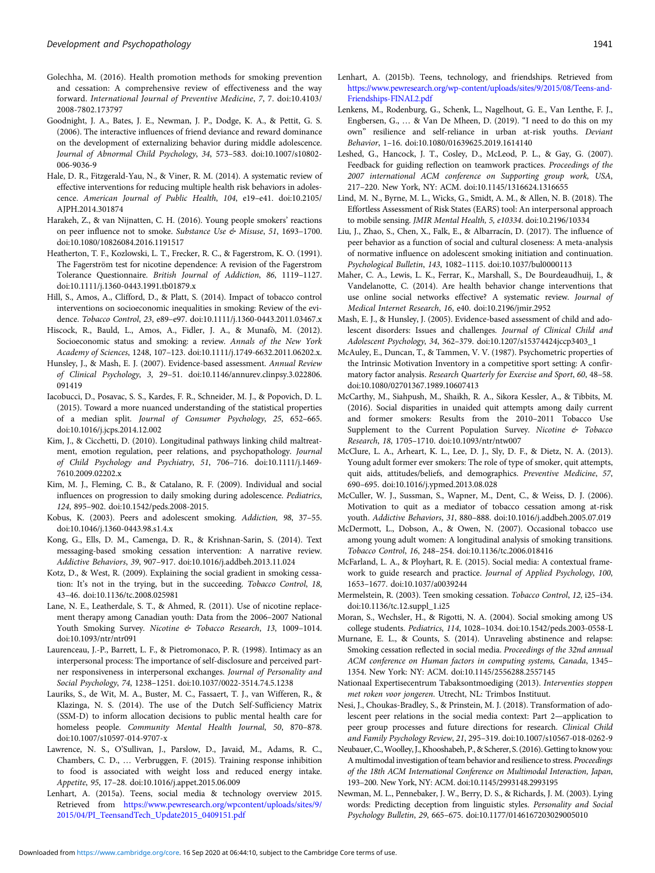- <span id="page-18-0"></span>Golechha, M. (2016). Health promotion methods for smoking prevention and cessation: A comprehensive review of effectiveness and the way forward. International Journal of Preventive Medicine, 7, 7. doi:10.4103/ 2008-7802.173797
- Goodnight, J. A., Bates, J. E., Newman, J. P., Dodge, K. A., & Pettit, G. S. (2006). The interactive influences of friend deviance and reward dominance on the development of externalizing behavior during middle adolescence. Journal of Abnormal Child Psychology, 34, 573–583. doi:10.1007/s10802- 006-9036-9
- Hale, D. R., Fitzgerald-Yau, N., & Viner, R. M. (2014). A systematic review of effective interventions for reducing multiple health risk behaviors in adolescence. American Journal of Public Health, 104, e19–e41. doi:10.2105/ AJPH.2014.301874
- Harakeh, Z., & van Nijnatten, C. H. (2016). Young people smokers' reactions on peer influence not to smoke. Substance Use & Misuse, 51, 1693-1700. doi:10.1080/10826084.2016.1191517
- Heatherton, T. F., Kozlowski, L. T., Frecker, R. C., & Fagerstrom, K. O. (1991). The Fagerström test for nicotine dependence: A revision of the Fagerstrom Tolerance Questionnaire. British Journal of Addiction, 86, 1119–1127. doi:10.1111/j.1360-0443.1991.tb01879.x
- Hill, S., Amos, A., Clifford, D., & Platt, S. (2014). Impact of tobacco control interventions on socioeconomic inequalities in smoking: Review of the evidence. Tobacco Control, 23, e89–e97. doi:10.1111/j.1360-0443.2011.03467.x
- Hiscock, R., Bauld, L., Amos, A., Fidler, J. A., & Munafò, M. (2012). Socioeconomic status and smoking: a review. Annals of the New York Academy of Sciences, 1248, 107–123. doi:10.1111/j.1749-6632.2011.06202.x.
- Hunsley, J., & Mash, E. J. (2007). Evidence-based assessment. Annual Review of Clinical Psychology, 3, 29–51. doi:10.1146/annurev.clinpsy.3.022806. 091419
- Iacobucci, D., Posavac, S. S., Kardes, F. R., Schneider, M. J., & Popovich, D. L. (2015). Toward a more nuanced understanding of the statistical properties of a median split. Journal of Consumer Psychology, 25, 652–665. doi:10.1016/j.jcps.2014.12.002
- Kim, J., & Cicchetti, D. (2010). Longitudinal pathways linking child maltreatment, emotion regulation, peer relations, and psychopathology. Journal of Child Psychology and Psychiatry, 51, 706–716. doi:10.1111/j.1469- 7610.2009.02202.x
- Kim, M. J., Fleming, C. B., & Catalano, R. F. (2009). Individual and social influences on progression to daily smoking during adolescence. Pediatrics, 124, 895–902. doi:10.1542/peds.2008-2015.
- Kobus, K. (2003). Peers and adolescent smoking. Addiction, 98, 37–55. doi:10.1046/j.1360-0443.98.s1.4.x
- Kong, G., Ells, D. M., Camenga, D. R., & Krishnan-Sarin, S. (2014). Text messaging-based smoking cessation intervention: A narrative review. Addictive Behaviors, 39, 907–917. doi:10.1016/j.addbeh.2013.11.024
- Kotz, D., & West, R. (2009). Explaining the social gradient in smoking cessation: It's not in the trying, but in the succeeding. Tobacco Control, 18, 43–46. doi:10.1136/tc.2008.025981
- Lane, N. E., Leatherdale, S. T., & Ahmed, R. (2011). Use of nicotine replacement therapy among Canadian youth: Data from the 2006–2007 National Youth Smoking Survey. Nicotine & Tobacco Research, 13, 1009-1014. doi:10.1093/ntr/ntr091
- Laurenceau, J.-P., Barrett, L. F., & Pietromonaco, P. R. (1998). Intimacy as an interpersonal process: The importance of self-disclosure and perceived partner responsiveness in interpersonal exchanges. Journal of Personality and Social Psychology, 74, 1238–1251. doi:10.1037/0022-3514.74.5.1238
- Lauriks, S., de Wit, M. A., Buster, M. C., Fassaert, T. J., van Wifferen, R., & Klazinga, N. S. (2014). The use of the Dutch Self-Sufficiency Matrix (SSM-D) to inform allocation decisions to public mental health care for homeless people. Community Mental Health Journal, 50, 870–878. doi:10.1007/s10597-014-9707-x
- Lawrence, N. S., O'Sullivan, J., Parslow, D., Javaid, M., Adams, R. C., Chambers, C. D., … Verbruggen, F. (2015). Training response inhibition to food is associated with weight loss and reduced energy intake. Appetite, 95, 17–28. doi:10.1016/j.appet.2015.06.009
- Lenhart, A. (2015a). Teens, social media & technology overview 2015. Retrieved from [https://www.pewresearch.org/wpcontent/uploads/sites/9/](https://www.pewresearch.org/wpcontent/uploads/sites/9/2015/04/PI_TeensandTech_Update2015_0409151.pdf) [2015/04/PI\\_TeensandTech\\_Update2015\\_0409151.pdf](https://www.pewresearch.org/wpcontent/uploads/sites/9/2015/04/PI_TeensandTech_Update2015_0409151.pdf)
- Lenhart, A. (2015b). Teens, technology, and friendships. Retrieved from [https://www.pewresearch.org/wp-content/uploads/sites/9/2015/08/Teens-and-](https://www.pewresearch.org/wp-content/uploads/sites/9/2015/08/Teens-and-Friendships-FINAL2.pdf)[Friendships-FINAL2.pdf](https://www.pewresearch.org/wp-content/uploads/sites/9/2015/08/Teens-and-Friendships-FINAL2.pdf)
- Lenkens, M., Rodenburg, G., Schenk, L., Nagelhout, G. E., Van Lenthe, F. J., Engbersen, G., … & Van De Mheen, D. (2019). "I need to do this on my own" resilience and self-reliance in urban at-risk youths. Deviant Behavior, 1–16. doi:10.1080/01639625.2019.1614140
- Leshed, G., Hancock, J. T., Cosley, D., McLeod, P. L., & Gay, G. (2007). Feedback for guiding reflection on teamwork practices. Proceedings of the 2007 international ACM conference on Supporting group work, USA, 217–220. New York, NY: ACM. doi:10.1145/1316624.1316655
- Lind, M. N., Byrne, M. L., Wicks, G., Smidt, A. M., & Allen, N. B. (2018). The Effortless Assessment of Risk States (EARS) tool: An interpersonal approach to mobile sensing. JMIR Mental Health, 5, e10334. doi:10.2196/10334
- Liu, J., Zhao, S., Chen, X., Falk, E., & Albarracín, D. (2017). The influence of peer behavior as a function of social and cultural closeness: A meta-analysis of normative influence on adolescent smoking initiation and continuation. Psychological Bulletin, 143, 1082–1115. doi:10.1037/bul0000113
- Maher, C. A., Lewis, L. K., Ferrar, K., Marshall, S., De Bourdeaudhuij, I., & Vandelanotte, C. (2014). Are health behavior change interventions that use online social networks effective? A systematic review. Journal of Medical Internet Research, 16, e40. doi:10.2196/jmir.2952
- Mash, E. J., & Hunsley, J. (2005). Evidence-based assessment of child and adolescent disorders: Issues and challenges. Journal of Clinical Child and Adolescent Psychology, 34, 362–379. doi:10.1207/s15374424jccp3403\_1
- McAuley, E., Duncan, T., & Tammen, V. V. (1987). Psychometric properties of the Intrinsic Motivation Inventory in a competitive sport setting: A confirmatory factor analysis. Research Quarterly for Exercise and Sport, 60, 48–58. doi:10.1080/02701367.1989.10607413
- McCarthy, M., Siahpush, M., Shaikh, R. A., Sikora Kessler, A., & Tibbits, M. (2016). Social disparities in unaided quit attempts among daily current and former smokers: Results from the 2010–2011 Tobacco Use Supplement to the Current Population Survey. Nicotine & Tobacco Research, 18, 1705–1710. doi:10.1093/ntr/ntw007
- McClure, L. A., Arheart, K. L., Lee, D. J., Sly, D. F., & Dietz, N. A. (2013). Young adult former ever smokers: The role of type of smoker, quit attempts, quit aids, attitudes/beliefs, and demographics. Preventive Medicine, 57, 690–695. doi:10.1016/j.ypmed.2013.08.028
- McCuller, W. J., Sussman, S., Wapner, M., Dent, C., & Weiss, D. J. (2006). Motivation to quit as a mediator of tobacco cessation among at-risk youth. Addictive Behaviors, 31, 880–888. doi:10.1016/j.addbeh.2005.07.019
- McDermott, L., Dobson, A., & Owen, N. (2007). Occasional tobacco use among young adult women: A longitudinal analysis of smoking transitions. Tobacco Control, 16, 248–254. doi:10.1136/tc.2006.018416
- McFarland, L. A., & Ployhart, R. E. (2015). Social media: A contextual framework to guide research and practice. Journal of Applied Psychology, 100, 1653–1677. doi:10.1037/a0039244
- Mermelstein, R. (2003). Teen smoking cessation. Tobacco Control, 12, i25–i34. doi:10.1136/tc.12.suppl\_1.i25
- Moran, S., Wechsler, H., & Rigotti, N. A. (2004). Social smoking among US college students. Pediatrics, 114, 1028–1034. doi:10.1542/peds.2003-0558-L
- Murnane, E. L., & Counts, S. (2014). Unraveling abstinence and relapse: Smoking cessation reflected in social media. Proceedings of the 32nd annual ACM conference on Human factors in computing systems, Canada, 1345– 1354. New York: NY: ACM. doi:10.1145/2556288.2557145
- Nationaal Expertisecentrum Tabaksontmoediging (2013). Interventies stoppen met roken voor jongeren. Utrecht, NL: Trimbos Instituut.
- Nesi, J., Choukas-Bradley, S., & Prinstein, M. J. (2018). Transformation of adolescent peer relations in the social media context: Part 2—application to peer group processes and future directions for research. Clinical Child and Family Psychology Review, 21, 295–319. doi:10.1007/s10567-018-0262-9
- Neubauer, C.,Woolley, J., Khooshabeh, P., & Scherer, S. (2016). Getting to know you: A multimodal investigation of team behavior and resilience to stress. Proceedings of the 18th ACM International Conference on Multimodal Interaction, Japan, 193–200. New York, NY: ACM. doi:10.1145/2993148.2993195
- Newman, M. L., Pennebaker, J. W., Berry, D. S., & Richards, J. M. (2003). Lying words: Predicting deception from linguistic styles. Personality and Social Psychology Bulletin, 29, 665–675. doi:10.1177/0146167203029005010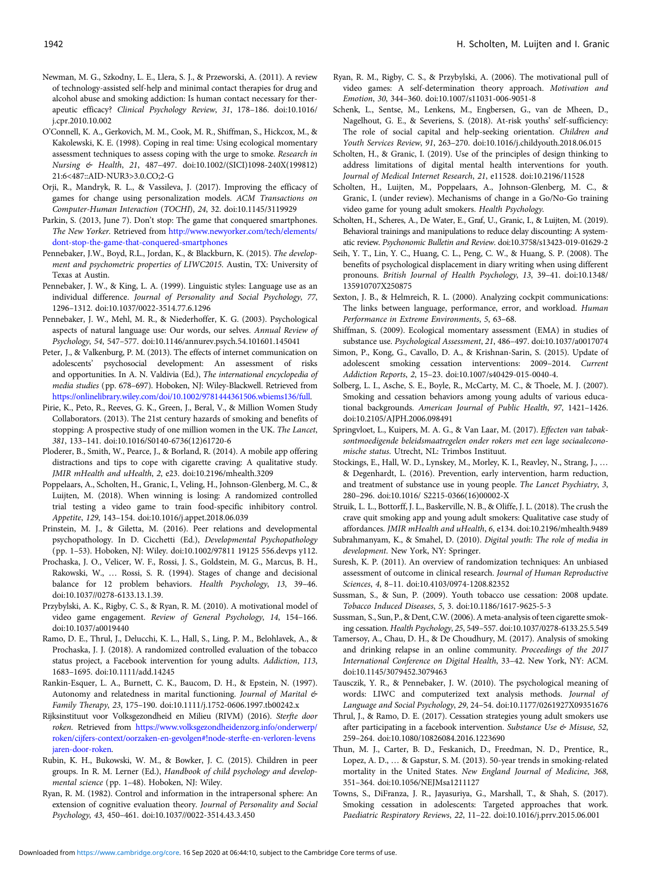- <span id="page-19-0"></span>Newman, M. G., Szkodny, L. E., Llera, S. J., & Przeworski, A. (2011). A review of technology-assisted self-help and minimal contact therapies for drug and alcohol abuse and smoking addiction: Is human contact necessary for therapeutic efficacy? Clinical Psychology Review, 31, 178–186. doi:10.1016/ j.cpr.2010.10.002
- O'Connell, K. A., Gerkovich, M. M., Cook, M. R., Shiffman, S., Hickcox, M., & Kakolewski, K. E. (1998). Coping in real time: Using ecological momentary assessment techniques to assess coping with the urge to smoke. Research in Nursing & Health, 21, 487–497. doi:10.1002/(SICI)1098-240X(199812) 21:6<487::AID-NUR3>3.0.CO;2-G
- Orji, R., Mandryk, R. L., & Vassileva, J. (2017). Improving the efficacy of games for change using personalization models. ACM Transactions on Computer-Human Interaction (TOCHI), 24, 32. doi:10.1145/3119929
- Parkin, S. (2013, June 7). Don't stop: The game that conquered smartphones. The New Yorker. Retrieved from [http://www.newyorker.com/tech/elements/](http://www.newyorker.com/tech/elements/dont-stop-the-game-that-conquered-smartphones) [dont-stop-the-game-that-conquered-smartphones](http://www.newyorker.com/tech/elements/dont-stop-the-game-that-conquered-smartphones)
- Pennebaker, J.W., Boyd, R.L., Jordan, K., & Blackburn, K. (2015). The development and psychometric properties of LIWC2015. Austin, TX: University of Texas at Austin.
- Pennebaker, J. W., & King, L. A. (1999). Linguistic styles: Language use as an individual difference. Journal of Personality and Social Psychology, 77, 1296–1312. doi:10.1037/0022-3514.77.6.1296
- Pennebaker, J. W., Mehl, M. R., & Niederhoffer, K. G. (2003). Psychological aspects of natural language use: Our words, our selves. Annual Review of Psychology, 54, 547–577. doi:10.1146/annurev.psych.54.101601.145041
- Peter, J., & Valkenburg, P. M. (2013). The effects of internet communication on adolescents' psychosocial development: An assessment of risks and opportunities. In A. N. Valdivia (Ed.), The international encyclopedia of media studies (pp. 678–697). Hoboken, NJ: Wiley-Blackwell. Retrieved from <https://onlinelibrary.wiley.com/doi/10.1002/9781444361506.wbiems136/full>.
- Pirie, K., Peto, R., Reeves, G. K., Green, J., Beral, V., & Million Women Study Collaborators. (2013). The 21st century hazards of smoking and benefits of stopping: A prospective study of one million women in the UK. The Lancet, 381, 133–141. doi:10.1016/S0140-6736(12)61720-6
- Ploderer, B., Smith, W., Pearce, J., & Borland, R. (2014). A mobile app offering distractions and tips to cope with cigarette craving: A qualitative study. JMIR mHealth and uHealth, 2, e23. doi:10.2196/mhealth.3209
- Poppelaars, A., Scholten, H., Granic, I., Veling, H., Johnson-Glenberg, M. C., & Luijten, M. (2018). When winning is losing: A randomized controlled trial testing a video game to train food-specific inhibitory control. Appetite, 129, 143–154. doi:10.1016/j.appet.2018.06.039
- Prinstein, M. J., & Giletta, M. (2016). Peer relations and developmental psychopathology. In D. Cicchetti (Ed.), Developmental Psychopathology (pp. 1–53). Hoboken, NJ: Wiley. doi:10.1002/97811 19125 556.devps y112.
- Prochaska, J. O., Velicer, W. F., Rossi, J. S., Goldstein, M. G., Marcus, B. H., Rakowski, W., … Rossi, S. R. (1994). Stages of change and decisional balance for 12 problem behaviors. Health Psychology, 13, 39–46. doi:10.1037//0278-6133.13.1.39.
- Przybylski, A. K., Rigby, C. S., & Ryan, R. M. (2010). A motivational model of video game engagement. Review of General Psychology, 14, 154–166. doi:10.1037/a0019440
- Ramo, D. E., Thrul, J., Delucchi, K. L., Hall, S., Ling, P. M., Belohlavek, A., & Prochaska, J. J. (2018). A randomized controlled evaluation of the tobacco status project, a Facebook intervention for young adults. Addiction, 113, 1683–1695. doi:10.1111/add.14245
- Rankin-Esquer, L. A., Burnett, C. K., Baucom, D. H., & Epstein, N. (1997). Autonomy and relatedness in marital functioning. Journal of Marital & Family Therapy, 23, 175–190. doi:10.1111/j.1752-0606.1997.tb00242.x
- Rijksinstituut voor Volksgezondheid en Milieu (RIVM) (2016). Sterfte door roken. Retrieved from [https://www.volksgezondheidenzorg.info/onderwerp/](https://www.volksgezondheidenzorg.info/onderwerp/roken/cijfers-context/oorzaken-en-gevolgen#!node-sterfte-en-verloren-levensjaren-door-roken) [roken/cijfers-context/oorzaken-en-gevolgen#!node-sterfte-en-verloren-levens](https://www.volksgezondheidenzorg.info/onderwerp/roken/cijfers-context/oorzaken-en-gevolgen#!node-sterfte-en-verloren-levensjaren-door-roken) [jaren-door-roken.](https://www.volksgezondheidenzorg.info/onderwerp/roken/cijfers-context/oorzaken-en-gevolgen#!node-sterfte-en-verloren-levensjaren-door-roken)
- Rubin, K. H., Bukowski, W. M., & Bowker, J. C. (2015). Children in peer groups. In R. M. Lerner (Ed.), Handbook of child psychology and developmental science (pp. 1–48). Hoboken, NJ: Wiley.
- Ryan, R. M. (1982). Control and information in the intrapersonal sphere: An extension of cognitive evaluation theory. Journal of Personality and Social Psychology, 43, 450–461. doi:10.1037//0022-3514.43.3.450
- Ryan, R. M., Rigby, C. S., & Przybylski, A. (2006). The motivational pull of video games: A self-determination theory approach. Motivation and Emotion, 30, 344–360. doi:10.1007/s11031-006-9051-8
- Schenk, L., Sentse, M., Lenkens, M., Engbersen, G., van de Mheen, D., Nagelhout, G. E., & Severiens, S. (2018). At-risk youths' self-sufficiency: The role of social capital and help-seeking orientation. Children and Youth Services Review, 91, 263–270. doi:10.1016/j.childyouth.2018.06.015
- Scholten, H., & Granic, I. (2019). Use of the principles of design thinking to address limitations of digital mental health interventions for youth. Journal of Medical Internet Research, 21, e11528. doi:10.2196/11528
- Scholten, H., Luijten, M., Poppelaars, A., Johnson-Glenberg, M. C., & Granic, I. (under review). Mechanisms of change in a Go/No-Go training video game for young adult smokers. Health Psychology.
- Scholten, H., Scheres, A., De Water, E., Graf, U., Granic, I., & Luijten, M. (2019). Behavioral trainings and manipulations to reduce delay discounting: A systematic review. Psychonomic Bulletin and Review. doi:10.3758/s13423-019-01629-2
- Seih, Y. T., Lin, Y. C., Huang, C. L., Peng, C. W., & Huang, S. P. (2008). The benefits of psychological displacement in diary writing when using different pronouns. British Journal of Health Psychology, 13, 39–41. doi:10.1348/ 135910707X250875
- Sexton, J. B., & Helmreich, R. L. (2000). Analyzing cockpit communications: The links between language, performance, error, and workload. Human Performance in Extreme Environments, 5, 63–68.
- Shiffman, S. (2009). Ecological momentary assessment (EMA) in studies of substance use. Psychological Assessment, 21, 486–497. doi:10.1037/a0017074
- Simon, P., Kong, G., Cavallo, D. A., & Krishnan-Sarin, S. (2015). Update of adolescent smoking cessation interventions: 2009–2014. Current Addiction Reports, 2, 15–23. doi:10.1007/s40429-015-0040-4.
- Solberg, L. I., Asche, S. E., Boyle, R., McCarty, M. C., & Thoele, M. J. (2007). Smoking and cessation behaviors among young adults of various educational backgrounds. American Journal of Public Health, 97, 1421–1426. doi:10.2105/AJPH.2006.098491
- Springvloet, L., Kuipers, M. A. G., & Van Laar, M. (2017). Effecten van tabaksontmoedigende beleidsmaatregelen onder rokers met een lage sociaaleconomische status. Utrecht, NL: Trimbos Instituut.
- Stockings, E., Hall, W. D., Lynskey, M., Morley, K. I., Reavley, N., Strang, J., … & Degenhardt, L. (2016). Prevention, early intervention, harm reduction, and treatment of substance use in young people. The Lancet Psychiatry, 3, 280–296. doi:10.1016/ S2215-0366(16)00002-X
- Struik, L. L., Bottorff, J. L., Baskerville, N. B., & Oliffe, J. L. (2018). The crush the crave quit smoking app and young adult smokers: Qualitative case study of affordances. JMIR mHealth and uHealth, 6, e134. doi:10.2196/mhealth.9489
- Subrahmanyam, K., & Smahel, D. (2010). Digital youth: The role of media in development. New York, NY: Springer.
- Suresh, K. P. (2011). An overview of randomization techniques: An unbiased assessment of outcome in clinical research. Journal of Human Reproductive Sciences, 4, 8–11. doi:10.4103/0974-1208.82352
- Sussman, S., & Sun, P. (2009). Youth tobacco use cessation: 2008 update. Tobacco Induced Diseases, 5, 3. doi:10.1186/1617-9625-5-3
- Sussman, S., Sun, P., & Dent, C.W. (2006). A meta-analysis of teen cigarette smoking cessation. Health Psychology, 25, 549–557. doi:10.1037/0278-6133.25.5.549
- Tamersoy, A., Chau, D. H., & De Choudhury, M. (2017). Analysis of smoking and drinking relapse in an online community. Proceedings of the 2017 International Conference on Digital Health, 33–42. New York, NY: ACM. doi:10.1145/3079452.3079463
- Tausczik, Y. R., & Pennebaker, J. W. (2010). The psychological meaning of words: LIWC and computerized text analysis methods. Journal of Language and Social Psychology, 29, 24–54. doi:10.1177/0261927X09351676
- Thrul, J., & Ramo, D. E. (2017). Cessation strategies young adult smokers use after participating in a facebook intervention. Substance Use & Misuse, 52, 259–264. doi:10.1080/10826084.2016.1223690
- Thun, M. J., Carter, B. D., Feskanich, D., Freedman, N. D., Prentice, R., Lopez, A. D., … & Gapstur, S. M. (2013). 50-year trends in smoking-related mortality in the United States. New England Journal of Medicine, 368, 351–364. doi:10.1056/NEJMsa1211127
- Towns, S., DiFranza, J. R., Jayasuriya, G., Marshall, T., & Shah, S. (2017). Smoking cessation in adolescents: Targeted approaches that work. Paediatric Respiratory Reviews, 22, 11–22. doi:10.1016/j.prrv.2015.06.001